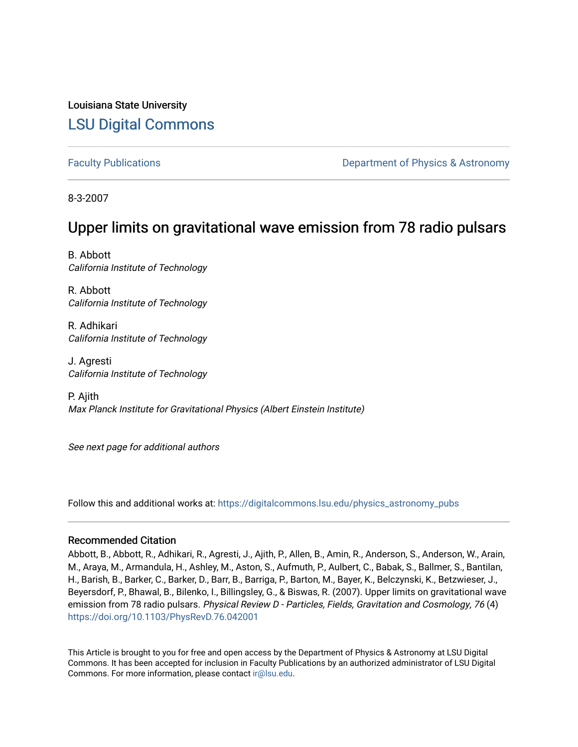Louisiana State University [LSU Digital Commons](https://digitalcommons.lsu.edu/)

[Faculty Publications](https://digitalcommons.lsu.edu/physics_astronomy_pubs) **Example 2** Constant Department of Physics & Astronomy

8-3-2007

# Upper limits on gravitational wave emission from 78 radio pulsars

B. Abbott California Institute of Technology

R. Abbott California Institute of Technology

R. Adhikari California Institute of Technology

J. Agresti California Institute of Technology

P. Ajith Max Planck Institute for Gravitational Physics (Albert Einstein Institute)

See next page for additional authors

Follow this and additional works at: [https://digitalcommons.lsu.edu/physics\\_astronomy\\_pubs](https://digitalcommons.lsu.edu/physics_astronomy_pubs?utm_source=digitalcommons.lsu.edu%2Fphysics_astronomy_pubs%2F1202&utm_medium=PDF&utm_campaign=PDFCoverPages) 

## Recommended Citation

Abbott, B., Abbott, R., Adhikari, R., Agresti, J., Ajith, P., Allen, B., Amin, R., Anderson, S., Anderson, W., Arain, M., Araya, M., Armandula, H., Ashley, M., Aston, S., Aufmuth, P., Aulbert, C., Babak, S., Ballmer, S., Bantilan, H., Barish, B., Barker, C., Barker, D., Barr, B., Barriga, P., Barton, M., Bayer, K., Belczynski, K., Betzwieser, J., Beyersdorf, P., Bhawal, B., Bilenko, I., Billingsley, G., & Biswas, R. (2007). Upper limits on gravitational wave emission from 78 radio pulsars. Physical Review D - Particles, Fields, Gravitation and Cosmology, 76 (4) <https://doi.org/10.1103/PhysRevD.76.042001>

This Article is brought to you for free and open access by the Department of Physics & Astronomy at LSU Digital Commons. It has been accepted for inclusion in Faculty Publications by an authorized administrator of LSU Digital Commons. For more information, please contact [ir@lsu.edu](mailto:ir@lsu.edu).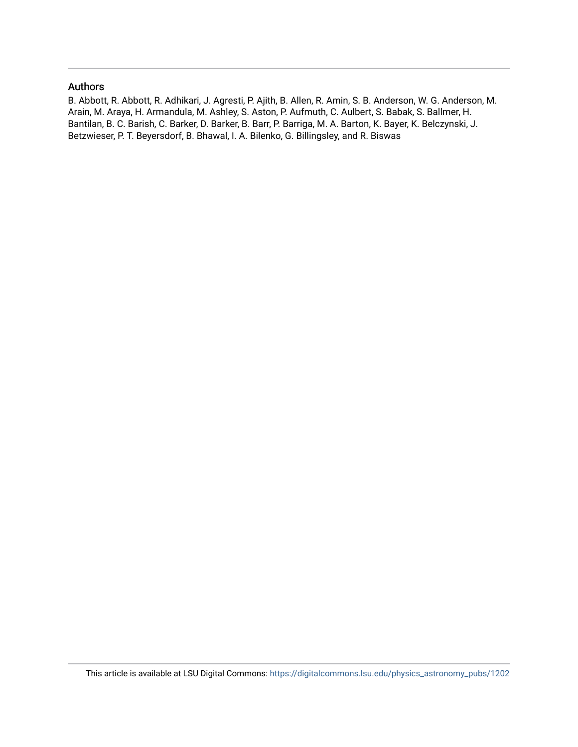### Authors

B. Abbott, R. Abbott, R. Adhikari, J. Agresti, P. Ajith, B. Allen, R. Amin, S. B. Anderson, W. G. Anderson, M. Arain, M. Araya, H. Armandula, M. Ashley, S. Aston, P. Aufmuth, C. Aulbert, S. Babak, S. Ballmer, H. Bantilan, B. C. Barish, C. Barker, D. Barker, B. Barr, P. Barriga, M. A. Barton, K. Bayer, K. Belczynski, J. Betzwieser, P. T. Beyersdorf, B. Bhawal, I. A. Bilenko, G. Billingsley, and R. Biswas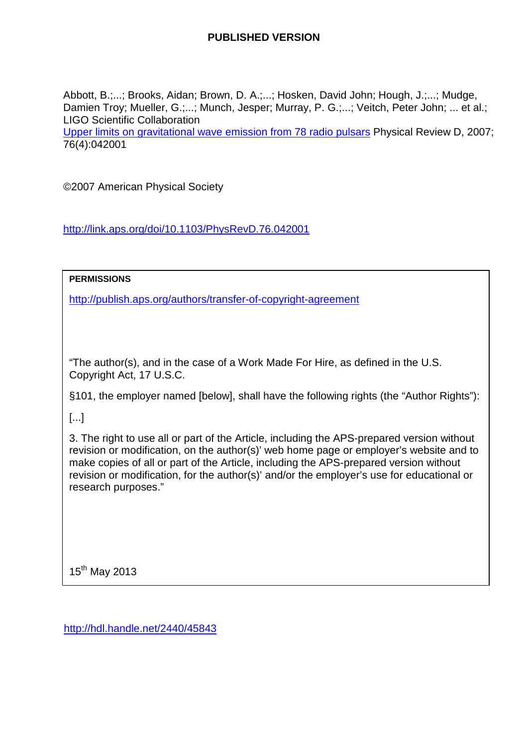# **PUBLISHED VERSION**

Abbott, B.;...; Brooks, Aidan; Brown, D. A.;...; Hosken, David John; Hough, J.;...; Mudge, Damien Troy; Mueller, G.;...; Munch, Jesper; Murray, P. G.;...; Veitch, Peter John; ... et al.; LIGO Scientific Collaboration

[Upper limits on gravitational wave emission from 78 radio pulsars](http://hdl.handle.net/2440/45843) Physical Review D, 2007; 76(4):042001

©2007 American Physical Society

<http://link.aps.org/doi/10.1103/PhysRevD.76.042001>

**PERMISSIONS**

<http://publish.aps.org/authors/transfer-of-copyright-agreement>

"The author(s), and in the case of a Work Made For Hire, as defined in the U.S. Copyright Act, 17 U.S.C.

§101, the employer named [below], shall have the following rights (the "Author Rights"):

[...]

3. The right to use all or part of the Article, including the APS-prepared version without revision or modification, on the author(s)' web home page or employer's website and to make copies of all or part of the Article, including the APS-prepared version without revision or modification, for the author(s)' and/or the employer's use for educational or research purposes."

15<sup>th</sup> May 2013

<http://hdl.handle.net/2440/45843>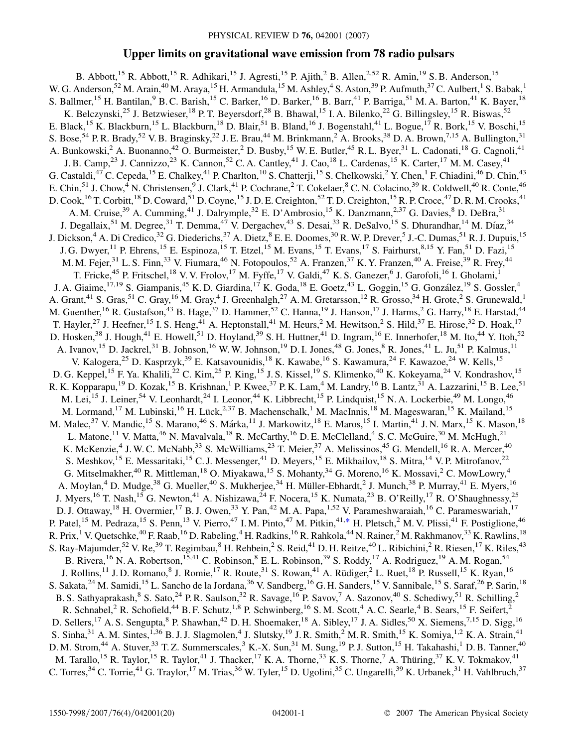## **Upper limits on gravitational wave emission from 78 radio pulsars**

<span id="page-3-0"></span>B. Abbott,<sup>15</sup> R. Abbott,<sup>15</sup> R. Adhikari,<sup>15</sup> J. Agresti,<sup>15</sup> P. Ajith,<sup>2</sup> B. Allen,<sup>2,52</sup> R. Amin,<sup>19</sup> S. B. Anderson,<sup>15</sup> W. G. Anderson,<sup>52</sup> M. Arain,<sup>40</sup> M. Araya,<sup>15</sup> H. Armandula,<sup>15</sup> M. Ashley,<sup>4</sup> S. Aston,<sup>39</sup> P. Aufmuth,<sup>37</sup> C. Aulbert,<sup>1</sup> S. Babak,<sup>1</sup> S. Ballmer,<sup>15</sup> H. Bantilan,<sup>9</sup> B. C. Barish,<sup>15</sup> C. Barker,<sup>16</sup> D. Barker,<sup>16</sup> B. Barr,<sup>41</sup> P. Barriga,<sup>51</sup> M. A. Barton,<sup>41</sup> K. Bayer,<sup>18</sup> K. Belczynski,<sup>25</sup> J. Betzwieser,<sup>18</sup> P. T. Beyersdorf,<sup>28</sup> B. Bhawal,<sup>15</sup> I. A. Bilenko,<sup>22</sup> G. Billingsley,<sup>15</sup> R. Biswas,<sup>52</sup> E. Black,<sup>15</sup> K. Blackburn,<sup>15</sup> L. Blackburn,<sup>18</sup> D. Blair,<sup>51</sup> B. Bland,<sup>16</sup> J. Bogenstahl,<sup>41</sup> L. Bogue,<sup>17</sup> R. Bork,<sup>15</sup> V. Boschi,<sup>15</sup> S. Bose,<sup>54</sup> P. R. Brady,<sup>52</sup> V. B. Braginsky,<sup>22</sup> J. E. Brau,<sup>44</sup> M. Brinkmann,<sup>2</sup> A. Brooks,<sup>38</sup> D. A. Brown,<sup>7,15</sup> A. Bullington,<sup>31</sup> A. Bunkowski,<sup>2</sup> A. Buonanno,<sup>42</sup> O. Burmeister,<sup>2</sup> D. Busby,<sup>15</sup> W. E. Butler,<sup>45</sup> R. L. Byer,<sup>31</sup> L. Cadonati,<sup>18</sup> G. Cagnoli,<sup>41</sup> J. B. Camp,<sup>23</sup> J. Cannizzo,<sup>23</sup> K. Cannon,<sup>52</sup> C. A. Cantley,<sup>41</sup> J. Cao,<sup>18</sup> L. Cardenas,<sup>15</sup> K. Carter,<sup>17</sup> M. M. Casey,<sup>41</sup> G. Castaldi, <sup>47</sup> C. Cepeda, <sup>15</sup> E. Chalkey, <sup>41</sup> P. Charlton, <sup>10</sup> S. Chatterji, <sup>15</sup> S. Chelkowski, 2<sup>2</sup> Y. Chen, <sup>1</sup> F. Chiadini, <sup>46</sup> D. Chin, <sup>43</sup> E. Chin,<sup>51</sup> J. Chow,<sup>4</sup> N. Christensen,<sup>9</sup> J. Clark,<sup>41</sup> P. Cochrane,<sup>2</sup> T. Cokelaer,<sup>8</sup> C. N. Colacino,<sup>39</sup> R. Coldwell,<sup>40</sup> R. Conte,<sup>46</sup> D. Cook, <sup>16</sup> T. Corbitt, <sup>18</sup> D. Coward, <sup>51</sup> D. Coyne, <sup>15</sup> J. D. E. Creighton, <sup>52</sup> T. D. Creighton, <sup>15</sup> R. P. Croce, <sup>47</sup> D. R. M. Crooks, <sup>41</sup> A. M. Cruise,  $39$  A. Cumming,  $41$  J. Dalrymple,  $32$  E. D'Ambrosio,  $15$  K. Danzmann,  $2,37$  G. Davies,  $8$  D. DeBra,  $31$ J. Degallaix,<sup>51</sup> M. Degree,<sup>31</sup> T. Demma,<sup>47</sup> V. Dergachev,<sup>43</sup> S. Desai,<sup>33</sup> R. DeSalvo,<sup>15</sup> S. Dhurandhar,<sup>14</sup> M. Diaz,<sup>34</sup> J. Dickson,<sup>4</sup> A. Di Credico,<sup>32</sup> G. Diederichs,<sup>37</sup> A. Dietz,<sup>8</sup> E. E. Doomes,<sup>30</sup> R. W. P. Drever,<sup>5</sup> J.-C. Dumas,<sup>51</sup> R. J. Dupuis,<sup>15</sup> J. G. Dwyer,<sup>11</sup> P. Ehrens,<sup>15</sup> E. Espinoza,<sup>15</sup> T. Etzel,<sup>15</sup> M. Evans,<sup>15</sup> T. Evans,<sup>17</sup> S. Fairhurst,<sup>8,15</sup> Y. Fan,<sup>51</sup> D. Fazi,<sup>15</sup> M. M. Fejer,<sup>31</sup> L. S. Finn,<sup>33</sup> V. Fiumara,<sup>46</sup> N. Fotopoulos,<sup>52</sup> A. Franzen,<sup>37</sup> K. Y. Franzen,<sup>40</sup> A. Freise,<sup>39</sup> R. Frey,<sup>44</sup> T. Fricke,<sup>45</sup> P. Fritschel,<sup>18</sup> V. V. Frolov,<sup>17</sup> M. Fyffe,<sup>17</sup> V. Galdi,<sup>47</sup> K. S. Ganezer,<sup>6</sup> J. Garofoli,<sup>16</sup> I. Gholami,<sup>1</sup> J. A. Giaime, <sup>17,19</sup> S. Giampanis, <sup>45</sup> K. D. Giardina, <sup>17</sup> K. Goda, <sup>18</sup> E. Goetz, <sup>43</sup> L. Goggin, <sup>15</sup> G. González, <sup>19</sup> S. Gossler, <sup>4</sup> A. Grant,<sup>41</sup> S. Gras,<sup>51</sup> C. Gray,<sup>16</sup> M. Gray,<sup>4</sup> J. Greenhalgh,<sup>27</sup> A. M. Gretarsson,<sup>12</sup> R. Grosso,<sup>34</sup> H. Grote,<sup>2</sup> S. Grunewald,<sup>1</sup> M. Guenther,<sup>16</sup> R. Gustafson,<sup>43</sup> B. Hage,<sup>37</sup> D. Hammer,<sup>52</sup> C. Hanna,<sup>19</sup> J. Hanson,<sup>17</sup> J. Harms,<sup>2</sup> G. Harry,<sup>18</sup> E. Harstad,<sup>44</sup> T. Hayler,<sup>27</sup> J. Heefner,<sup>15</sup> I. S. Heng,<sup>41</sup> A. Heptonstall,<sup>41</sup> M. Heurs,<sup>2</sup> M. Hewitson,<sup>2</sup> S. Hild,<sup>37</sup> E. Hirose,<sup>32</sup> D. Hoak,<sup>17</sup> D. Hosken,<sup>38</sup> J. Hough,<sup>41</sup> E. Howell,<sup>51</sup> D. Hoyland,<sup>39</sup> S. H. Huttner,<sup>41</sup> D. Ingram,<sup>16</sup> E. Innerhofer,<sup>18</sup> M. Ito,<sup>44</sup> Y. Itoh,<sup>52</sup> A. Ivanov,<sup>15</sup> D. Jackrel,<sup>31</sup> B. Johnson,<sup>16</sup> W. W. Johnson,<sup>19</sup> D. I. Jones,<sup>48</sup> G. Jones,<sup>8</sup> R. Jones,<sup>41</sup> L. Ju,<sup>51</sup> P. Kalmus,<sup>11</sup> V. Kalogera,<sup>25</sup> D. Kasprzyk,<sup>39</sup> E. Katsavounidis,<sup>18</sup> K. Kawabe,<sup>16</sup> S. Kawamura,<sup>24</sup> F. Kawazoe,<sup>24</sup> W. Kells,<sup>15</sup> D. G. Keppel,<sup>15</sup> F. Ya. Khalili,<sup>22</sup> C. Kim,<sup>25</sup> P. King,<sup>15</sup> J. S. Kissel,<sup>19</sup> S. Klimenko,<sup>40</sup> K. Kokeyama,<sup>24</sup> V. Kondrashov,<sup>15</sup> R. K. Kopparapu,<sup>19</sup> D. Kozak,<sup>15</sup> B. Krishnan,<sup>1</sup> P. Kwee,<sup>37</sup> P. K. Lam,<sup>4</sup> M. Landry,<sup>16</sup> B. Lantz,<sup>31</sup> A. Lazzarini,<sup>15</sup> B. Lee,<sup>51</sup> M. Lei,<sup>15</sup> J. Leiner,<sup>54</sup> V. Leonhardt,<sup>24</sup> I. Leonor,<sup>44</sup> K. Libbrecht,<sup>15</sup> P. Lindquist,<sup>15</sup> N. A. Lockerbie,<sup>49</sup> M. Longo,<sup>46</sup> M. Lormand,<sup>17</sup> M. Lubinski,<sup>16</sup> H. Lück,<sup>2,37</sup> B. Machenschalk,<sup>1</sup> M. MacInnis,<sup>18</sup> M. Mageswaran,<sup>15</sup> K. Mailand,<sup>15</sup> M. Malec,<sup>37</sup> V. Mandic,<sup>15</sup> S. Marano,<sup>46</sup> S. Márka,<sup>11</sup> J. Markowitz,<sup>18</sup> E. Maros,<sup>15</sup> I. Martin,<sup>41</sup> J. N. Marx,<sup>15</sup> K. Mason,<sup>18</sup> L. Matone,<sup>11</sup> V. Matta,<sup>46</sup> N. Mavalvala,<sup>18</sup> R. McCarthy,<sup>16</sup> D. E. McClelland,<sup>4</sup> S. C. McGuire,<sup>30</sup> M. McHugh,<sup>21</sup> K. McKenzie,<sup>4</sup> J. W. C. McNabb,<sup>33</sup> S. McWilliams,<sup>23</sup> T. Meier,<sup>37</sup> A. Melissinos,<sup>45</sup> G. Mendell,<sup>16</sup> R. A. Mercer,<sup>40</sup> S. Meshkov,<sup>15</sup> E. Messaritaki,<sup>15</sup> C. J. Messenger,<sup>41</sup> D. Meyers,<sup>15</sup> E. Mikhailov,<sup>18</sup> S. Mitra,<sup>14</sup> V. P. Mitrofanov,<sup>22</sup> G. Mitselmakher,<sup>40</sup> R. Mittleman,<sup>18</sup> O. Miyakawa,<sup>15</sup> S. Mohanty,<sup>34</sup> G. Moreno,<sup>16</sup> K. Mossavi,<sup>2</sup> C. MowLowry,<sup>4</sup> A. Moylan,<sup>4</sup> D. Mudge,<sup>38</sup> G. Mueller,<sup>40</sup> S. Mukherjee,<sup>34</sup> H. Müller-Ebhardt,<sup>2</sup> J. Munch,<sup>38</sup> P. Murray,<sup>41</sup> E. Myers,<sup>16</sup> J. Myers,<sup>16</sup> T. Nash,<sup>15</sup> G. Newton,<sup>41</sup> A. Nishizawa,<sup>24</sup> F. Nocera,<sup>15</sup> K. Numata,<sup>23</sup> B. O'Reilly,<sup>17</sup> R. O'Shaughnessy,<sup>25</sup> D. J. Ottaway,<sup>18</sup> H. Overmier,<sup>17</sup> B. J. Owen,<sup>33</sup> Y. Pan,<sup>42</sup> M. A. Papa,<sup>1,52</sup> V. Parameshwaraiah,<sup>16</sup> C. Parameswariah,<sup>17</sup> P. Patel,<sup>15</sup> M. Pedraza,<sup>15</sup> S. Penn,<sup>13</sup> V. Pierro,<sup>47</sup> I. M. Pinto,<sup>47</sup> M. Pitkin,<sup>41,[\\*](#page-5-0)</sup> H. Pletsch,<sup>2</sup> M. V. Plissi,<sup>41</sup> F. Postiglione,<sup>46</sup> R. Prix,<sup>1</sup> V. Quetschke,<sup>40</sup> F. Raab,<sup>16</sup> D. Rabeling,<sup>4</sup> H. Radkins,<sup>16</sup> R. Rahkola,<sup>44</sup> N. Rainer,<sup>2</sup> M. Rakhmanov,<sup>33</sup> K. Rawlins,<sup>18</sup> S. Ray-Majumder,<sup>52</sup> V. Re,<sup>39</sup> T. Regimbau,<sup>8</sup> H. Rehbein,<sup>2</sup> S. Reid,<sup>41</sup> D. H. Reitze,<sup>40</sup> L. Ribichini,<sup>2</sup> R. Riesen,<sup>17</sup> K. Riles,<sup>43</sup> B. Rivera, <sup>16</sup> N. A. Robertson, <sup>15,41</sup> C. Robinson, <sup>8</sup> E. L. Robinson, <sup>39</sup> S. Roddy, <sup>17</sup> A. Rodriguez, <sup>19</sup> A. M. Rogan, <sup>54</sup> J. Rollins,<sup>11</sup> J. D. Romano,<sup>8</sup> J. Romie,<sup>17</sup> R. Route,<sup>31</sup> S. Rowan,<sup>41</sup> A. Rüdiger,<sup>2</sup> L. Ruet,<sup>18</sup> P. Russell,<sup>15</sup> K. Ryan,<sup>16</sup> S. Sakata, <sup>24</sup> M. Samidi, <sup>15</sup> L. Sancho de la Jordana, <sup>36</sup> V. Sandberg, <sup>16</sup> G. H. Sanders, <sup>15</sup> V. Sannibale, <sup>15</sup> S. Saraf, <sup>26</sup> P. Sarin, <sup>18</sup> B. S. Sathyaprakash,<sup>8</sup> S. Sato,<sup>24</sup> P. R. Saulson,<sup>32</sup> R. Savage,<sup>16</sup> P. Savov,<sup>7</sup> A. Sazonov,<sup>40</sup> S. Schediwy,<sup>51</sup> R. Schilling,<sup>2</sup> R. Schnabel,<sup>2</sup> R. Schofield,<sup>44</sup> B. F. Schutz,<sup>1,8</sup> P. Schwinberg,<sup>16</sup> S. M. Scott,<sup>4</sup> A. C. Searle,<sup>4</sup> B. Sears,<sup>15</sup> F. Seifert,<sup>2</sup> D. Sellers,<sup>17</sup> A. S. Sengupta,<sup>8</sup> P. Shawhan,<sup>42</sup> D. H. Shoemaker,<sup>18</sup> A. Sibley,<sup>17</sup> J. A. Sidles,<sup>50</sup> X. Siemens,<sup>7,15</sup> D. Sigg,<sup>16</sup> S. Sinha,  $31$  A. M. Sintes,  $1,36$  B. J. J. Slagmolen,  $4$  J. Slutsky,  $19$  J. R. Smith,  $2$  M. R. Smith,  $15$  K. Somiya,  $1,2$  K. A. Strain,  $41$ D. M. Strom,<sup>44</sup> A. Stuver,<sup>33</sup> T. Z. Summerscales,<sup>3</sup> K.-X. Sun,<sup>31</sup> M. Sung,<sup>19</sup> P. J. Sutton,<sup>15</sup> H. Takahashi,<sup>1</sup> D. B. Tanner,<sup>40</sup> M. Tarallo,<sup>15</sup> R. Taylor,<sup>15</sup> R. Taylor,<sup>41</sup> J. Thacker,<sup>17</sup> K. A. Thorne,<sup>33</sup> K. S. Thorne,<sup>7</sup> A. Thüring,<sup>37</sup> K. V. Tokmakov,<sup>41</sup> C. Torres,<sup>34</sup> C. Torrie,<sup>41</sup> G. Traylor,<sup>17</sup> M. Trias,<sup>36</sup> W. Tyler,<sup>15</sup> D. Ugolini,<sup>35</sup> C. Ungarelli,<sup>39</sup> K. Urbanek,<sup>31</sup> H. Vahlbruch,<sup>37</sup>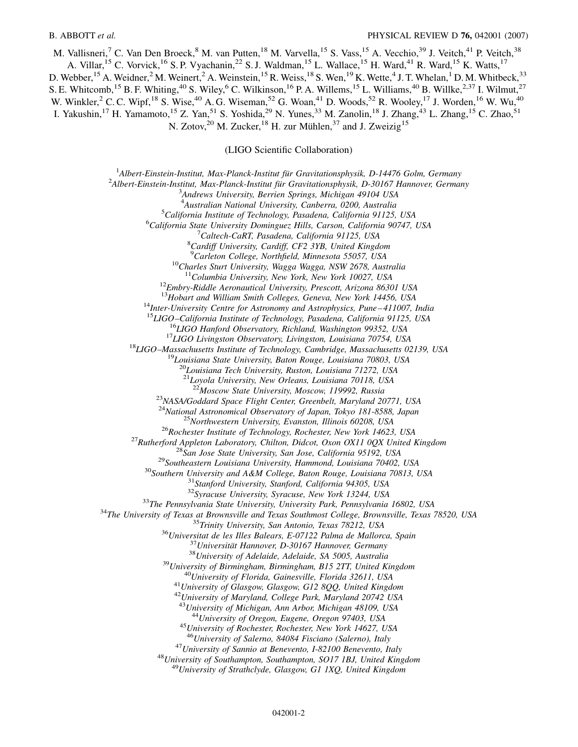M. Vallisneri,<sup>7</sup> C. Van Den Broeck,<sup>8</sup> M. van Putten,<sup>18</sup> M. Varvella,<sup>15</sup> S. Vass,<sup>15</sup> A. Vecchio,<sup>39</sup> J. Veitch,<sup>41</sup> P. Veitch,<sup>38</sup> A. Villar,<sup>15</sup> C. Vorvick,<sup>16</sup> S. P. Vyachanin,<sup>22</sup> S. J. Waldman,<sup>15</sup> L. Wallace,<sup>15</sup> H. Ward,<sup>41</sup> R. Ward,<sup>15</sup> K. Watts,<sup>17</sup> D. Webber, <sup>15</sup> A. Weidner, <sup>2</sup> M. Weinert, <sup>2</sup> A. Weinstein, <sup>15</sup> R. Weiss, <sup>18</sup> S. Wen, <sup>19</sup> K. Wette, <sup>4</sup> J. T. Whelan, <sup>1</sup> D. M. Whitbeck, <sup>33</sup> S. E. Whitcomb, <sup>15</sup> B. F. Whiting, <sup>40</sup> S. Wiley, <sup>6</sup> C. Wilkinson, <sup>16</sup> P. A. Willems, <sup>15</sup> L. Williams, <sup>40</sup> B. Willke, <sup>2,37</sup> I. Wilmut, <sup>27</sup> W. Winkler,  $2^{\circ}$  C. C. Wipf,  $^{18}$  S. Wise,  $^{40}$  A. G. Wiseman,  $^{52}$  G. Woan,  $^{41}$  D. Woods,  $^{52}$  R. Wooley,  $^{17}$  J. Worden,  $^{16}$  W. Wu,  $^{40}$ I. Yakushin,<sup>17</sup> H. Yamamoto,<sup>15</sup> Z. Yan,<sup>51</sup> S. Yoshida,<sup>29</sup> N. Yunes,<sup>33</sup> M. Zanolin,<sup>18</sup> J. Zhang,<sup>43</sup> L. Zhang,<sup>15</sup> C. Zhao,<sup>51</sup> N. Zotov,<sup>20</sup> M. Zucker,<sup>18</sup> H. zur Mühlen,<sup>37</sup> and J. Zweizig<sup>15</sup>

(LIGO Scientific Collaboration)

<sup>1</sup> Albert-Einstein-Institut, Max-Planck-Institut für Gravitationsphysik, D-14476 Golm, Germany<br><sup>2</sup> Albert Einstein-Institut, Max-Planck-Institut für Gravitationsphysik, D-20167 Hannover, German <sup>2</sup> Albert-Einstein-Institut, Max-Planck-Institut für Gravitationsphysik, D-30167 Hannover, Germany *Andrews University, Berrien Springs, Michigan 49104 USA* <sup>4</sup> *Australian National University, Canberra, 0200, Australia*<br><sup>5</sup> California Institute of Technology, Pasadana, California 01125 <sup>5</sup> California Institute of Technology, Pasadena, California 91125, USA *California State University Dominguez Hills, Carson, California 90747, USA* <sup>7</sup> <sup>7</sup> Caltech-CaRT, Pasadena, California 91125, USA *Cardiff University, Cardiff, CF2 3YB, United Kingdom* <sup>9</sup>Carleton College, Northfield, Minnesota 55057, USA <sup>10</sup>Charles Sturt University, Wagga Wagga, NSW 2678, Australia<br><sup>11</sup>Columbia University, New York, New York 10027, USA <sup>12</sup>*Embry-Riddle Aeronautical University, Prescott, Arizona 86301 USA* <sup>13</sup>*Hobart and William Smith Colleges, Geneva, New York 14456, USA* <sup>14</sup>Inter-University Centre for Astronomy and Astrophysics, Pune–411007, India<br><sup>15</sup>LIGO–California Institute of Technology, Pasadena, California 91125, USA <sup>16</sup>LIGO Hanford Observatory, Richland, Washington 99352, USA<br><sup>17</sup>LIGO Livingston Observatory, Livingston, Louisiana 70754, USA<br><sup>18</sup>LIGO-Massachusetts Institute of Technology, Cambridge, Massachusetts 02139, USA<br><sup>19</sup>Louis <sup>20</sup>*Louisiana Tech University, Ruston, Louisiana 71272, USA* <sup>21</sup>*Loyola University, New Orleans, Louisiana 70118, USA* <sup>23</sup> NASA/Goddard Space Flight Center, Greenbelt, Maryland 20771, USA<br><sup>24</sup>National Astronomical Observatory of Japan, Tokyo 181-8588, Japan <sup>24</sup>National Astronomical Observatory of Japan, Tokyo 181-8588, Japan<br><sup>25</sup>Northwestern University, Evanston, Illinois 60208, USA<br><sup>26</sup>Rutherford Appleton Laboratory, Chilton, Didcot, Oxon OX11 0QX United Kingdom<br><sup>28</sup>San Jo <sup>42</sup>University of Maryland, College Park, Maryland 20742 USA<br><sup>43</sup>University of Michigan, Ann Arbor, Michigan 48109, USA <sup>44</sup>*University of Oregon, Eugene, Oregon 97403, USA* <sup>45</sup>*University of Rochester, Rochester, New York 14627, USA* <sup>47</sup>University of Sannio at Benevento, I-82100 Benevento, Italy<br><sup>48</sup>University of Southampton, Southampton, SO17 1BJ, United Kingdom<br><sup>49</sup>University of Strathclyde, Glasgow, G1 1XQ, United Kingdom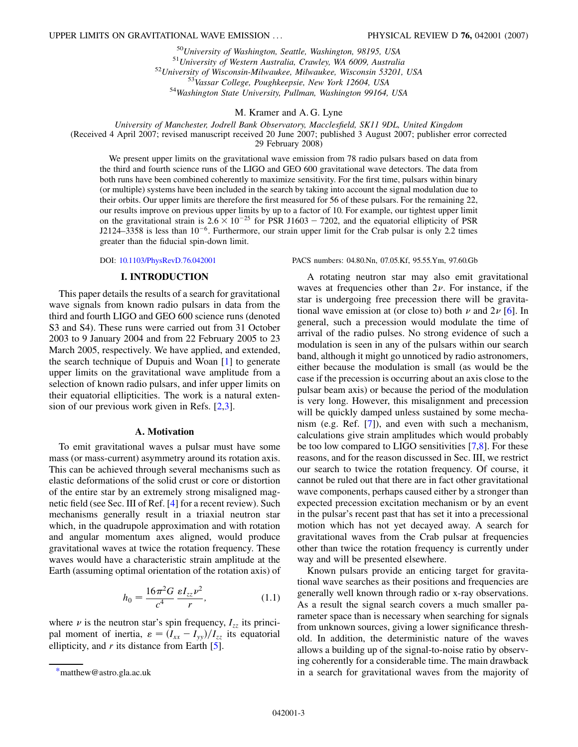$^{50}$ University of Washington, Seattle, Washington, 98195, USA<br>  $^{51}$ University of Western Australia, Crawley, WA 6009, Australia<br>  $^{52}$ University of Wisconsin-Milwaukee, Milwaukee, Wisconsin 53201, USA<br>  $^{52}$ Universi

#### M. Kramer and A. G. Lyne

*University of Manchester, Jodrell Bank Observatory, Macclesfield, SK11 9DL, United Kingdom*

(Received 4 April 2007; revised manuscript received 20 June 2007; published 3 August 2007; publisher error corrected

29 February 2008)

We present upper limits on the gravitational wave emission from 78 radio pulsars based on data from the third and fourth science runs of the LIGO and GEO 600 gravitational wave detectors. The data from both runs have been combined coherently to maximize sensitivity. For the first time, pulsars within binary (or multiple) systems have been included in the search by taking into account the signal modulation due to their orbits. Our upper limits are therefore the first measured for 56 of these pulsars. For the remaining 22, our results improve on previous upper limits by up to a factor of 10. For example, our tightest upper limit on the gravitational strain is  $2.6 \times 10^{-25}$  for PSR J1603 - 7202, and the equatorial ellipticity of PSR  $J2124-3358$  is less than  $10^{-6}$ . Furthermore, our strain upper limit for the Crab pulsar is only 2.2 times greater than the fiducial spin-down limit.

#### **I. INTRODUCTION**

This paper details the results of a search for gravitational wave signals from known radio pulsars in data from the third and fourth LIGO and GEO 600 science runs (denoted S<sub>3</sub> and S<sub>4</sub>). These runs were carried out from 31 October 2003 to 9 January 2004 and from 22 February 2005 to 23 March 2005, respectively. We have applied, and extended, the search technique of Dupuis and Woan [[1](#page-21-0)] to generate upper limits on the gravitational wave amplitude from a selection of known radio pulsars, and infer upper limits on their equatorial ellipticities. The work is a natural extension of our previous work given in Refs. [[2](#page-21-1),[3](#page-21-2)].

#### **A. Motivation**

To emit gravitational waves a pulsar must have some mass (or mass-current) asymmetry around its rotation axis. This can be achieved through several mechanisms such as elastic deformations of the solid crust or core or distortion of the entire star by an extremely strong misaligned magnetic field (see Sec. III of Ref. [\[4\]](#page-21-3) for a recent review). Such mechanisms generally result in a triaxial neutron star which, in the quadrupole approximation and with rotation and angular momentum axes aligned, would produce gravitational waves at twice the rotation frequency. These waves would have a characteristic strain amplitude at the Earth (assuming optimal orientation of the rotation axis) of

$$
h_0 = \frac{16\pi^2 G}{c^4} \frac{\varepsilon I_{zz} \nu^2}{r},
$$
 (1.1)

where  $\nu$  is the neutron star's spin frequency,  $I_{zz}$  its principal moment of inertia,  $\varepsilon = (I_{xx} - I_{yy})/I_{zz}$  its equatorial ellipticity, and *r* its distance from Earth [\[5](#page-21-4)].

DOI: [10.1103/PhysRevD.76.042001](http://dx.doi.org/10.1103/PhysRevD.76.042001) PACS numbers: 04.80.Nn, 07.05.Kf, 95.55.Ym, 97.60.Gb

A rotating neutron star may also emit gravitational waves at frequencies other than  $2\nu$ . For instance, if the star is undergoing free precession there will be gravitational wave emission at (or close to) both  $\nu$  and  $2\nu$  [\[6](#page-21-5)]. In general, such a precession would modulate the time of arrival of the radio pulses. No strong evidence of such a modulation is seen in any of the pulsars within our search band, although it might go unnoticed by radio astronomers, either because the modulation is small (as would be the case if the precession is occurring about an axis close to the pulsar beam axis) or because the period of the modulation is very long. However, this misalignment and precession will be quickly damped unless sustained by some mechanism (e.g. Ref. [\[7\]](#page-21-6)), and even with such a mechanism, calculations give strain amplitudes which would probably be too low compared to LIGO sensitivities [[7](#page-21-6)[,8\]](#page-21-7). For these reasons, and for the reason discussed in Sec. III, we restrict our search to twice the rotation frequency. Of course, it cannot be ruled out that there are in fact other gravitational wave components, perhaps caused either by a stronger than expected precession excitation mechanism or by an event in the pulsar's recent past that has set it into a precessional motion which has not yet decayed away. A search for gravitational waves from the Crab pulsar at frequencies other than twice the rotation frequency is currently under way and will be presented elsewhere.

<span id="page-5-1"></span>Known pulsars provide an enticing target for gravitational wave searches as their positions and frequencies are generally well known through radio or x-ray observations. As a result the signal search covers a much smaller parameter space than is necessary when searching for signals from unknown sources, giving a lower significance threshold. In addition, the deterministic nature of the waves allows a building up of the signal-to-noise ratio by observing coherently for a considerable time. The main drawback [\\*m](#page-3-0)atthew@astro.gla.ac.uk in a search for gravitational waves from the majority of

<span id="page-5-0"></span>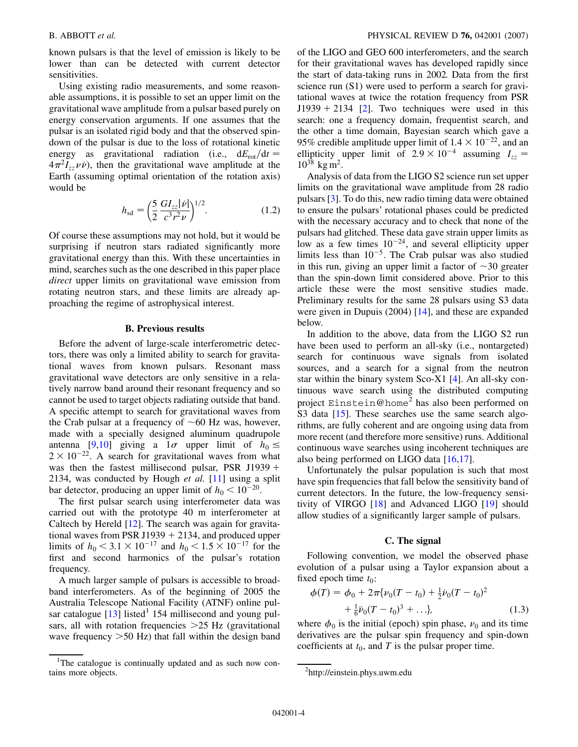known pulsars is that the level of emission is likely to be lower than can be detected with current detector sensitivities.

Using existing radio measurements, and some reasonable assumptions, it is possible to set an upper limit on the gravitational wave amplitude from a pulsar based purely on energy conservation arguments. If one assumes that the pulsar is an isolated rigid body and that the observed spindown of the pulsar is due to the loss of rotational kinetic energy as gravitational radiation (i.e.,  $dE_{\text{rot}}/dt =$  $4\pi^2 I_{zz} \nu \nu$ , then the gravitational wave amplitude at the Earth (assuming optimal orientation of the rotation axis) would be

$$
h_{\rm sd} = \left(\frac{5}{2} \frac{GI_{zz}|\dot{\nu}|}{c^3 r^2 \nu}\right)^{1/2}.
$$
 (1.2)

<span id="page-6-1"></span>Of course these assumptions may not hold, but it would be surprising if neutron stars radiated significantly more gravitational energy than this. With these uncertainties in mind, searches such as the one described in this paper place *direct* upper limits on gravitational wave emission from rotating neutron stars, and these limits are already approaching the regime of astrophysical interest.

#### **B. Previous results**

Before the advent of large-scale interferometric detectors, there was only a limited ability to search for gravitational waves from known pulsars. Resonant mass gravitational wave detectors are only sensitive in a relatively narrow band around their resonant frequency and so cannot be used to target objects radiating outside that band. A specific attempt to search for gravitational waves from the Crab pulsar at a frequency of  $\sim 60$  Hz was, however, made with a specially designed aluminum quadrupole antenna [[9,](#page-21-8)[10](#page-21-9)] giving a  $1\sigma$  upper limit of  $h_0 \leq$  $2 \times 10^{-22}$ . A search for gravitational waves from what was then the fastest millisecond pulsar, PSR J1939 2134, was conducted by Hough *et al.* [\[11\]](#page-21-10) using a split bar detector, producing an upper limit of  $h_0 < 10^{-20}$ .

The first pulsar search using interferometer data was carried out with the prototype 40 m interferometer at Caltech by Hereld [[12](#page-21-11)]. The search was again for gravitational waves from PSR J1939  $+$  2134, and produced upper limits of  $h_0 < 3.1 \times 10^{-17}$  and  $h_0 < 1.5 \times 10^{-17}$  for the first and second harmonics of the pulsar's rotation frequency.

A much larger sample of pulsars is accessible to broadband interferometers. As of the beginning of 2005 the Australia Telescope National Facility (ATNF) online pulsar catalogue  $[13]$  listed<sup>1</sup> 154 millisecond and young pulsars, all with rotation frequencies *>*25 Hz (gravitational wave frequency *>*50 Hz) that fall within the design band of the LIGO and GEO 600 interferometers, and the search for their gravitational waves has developed rapidly since the start of data-taking runs in 2002. Data from the first science run (S1) were used to perform a search for gravitational waves at twice the rotation frequency from PSR  $J1939 + 2134$  [\[2](#page-21-1)]. Two techniques were used in this search: one a frequency domain, frequentist search, and the other a time domain, Bayesian search which gave a 95% credible amplitude upper limit of  $1.4 \times 10^{-22}$ , and an ellipticity upper limit of  $2.9 \times 10^{-4}$  assuming  $I_{zz}$  $10^{38}$  kg m<sup>2</sup>.

Analysis of data from the LIGO S2 science run set upper limits on the gravitational wave amplitude from 28 radio pulsars [\[3](#page-21-2)]. To do this, new radio timing data were obtained to ensure the pulsars' rotational phases could be predicted with the necessary accuracy and to check that none of the pulsars had glitched. These data gave strain upper limits as low as a few times  $10^{-24}$ , and several ellipticity upper limits less than  $10^{-5}$ . The Crab pulsar was also studied in this run, giving an upper limit a factor of  $\sim$ 30 greater than the spin-down limit considered above. Prior to this article these were the most sensitive studies made. Preliminary results for the same 28 pulsars using S3 data were given in Dupuis (2004) [\[14\]](#page-22-0), and these are expanded below.

In addition to the above, data from the LIGO S2 run have been used to perform an all-sky (i.e., nontargeted) search for continuous wave signals from isolated sources, and a search for a signal from the neutron star within the binary system Sco-X1 [[4\]](#page-21-3). An all-sky continuous wave search using the distributed computing project Einstein@home<sup>2</sup> has also been performed on S3 data [[15](#page-22-1)]. These searches use the same search algorithms, are fully coherent and are ongoing using data from more recent (and therefore more sensitive) runs. Additional continuous wave searches using incoherent techniques are also being performed on LIGO data [\[16](#page-22-2)[,17\]](#page-22-3).

Unfortunately the pulsar population is such that most have spin frequencies that fall below the sensitivity band of current detectors. In the future, the low-frequency sensitivity of VIRGO [[18](#page-22-4)] and Advanced LIGO [[19](#page-22-5)] should allow studies of a significantly larger sample of pulsars.

#### **C. The signal**

Following convention, we model the observed phase evolution of a pulsar using a Taylor expansion about a fixed epoch time  $t_0$ :

<span id="page-6-0"></span>
$$
\phi(T) = \phi_0 + 2\pi \{ \nu_0 (T - t_0) + \frac{1}{2} \dot{\nu}_0 (T - t_0)^2 + \frac{1}{6} \ddot{\nu}_0 (T - t_0)^3 + \dots \},
$$
\n(1.3)

where  $\phi_0$  is the initial (epoch) spin phase,  $\nu_0$  and its time derivatives are the pulsar spin frequency and spin-down coefficients at  $t_0$ , and  $T$  is the pulsar proper time.

<sup>&</sup>lt;sup>1</sup>The catalogue is continually updated and as such now contains more objects. <sup>2</sup>

http://einstein.phys.uwm.edu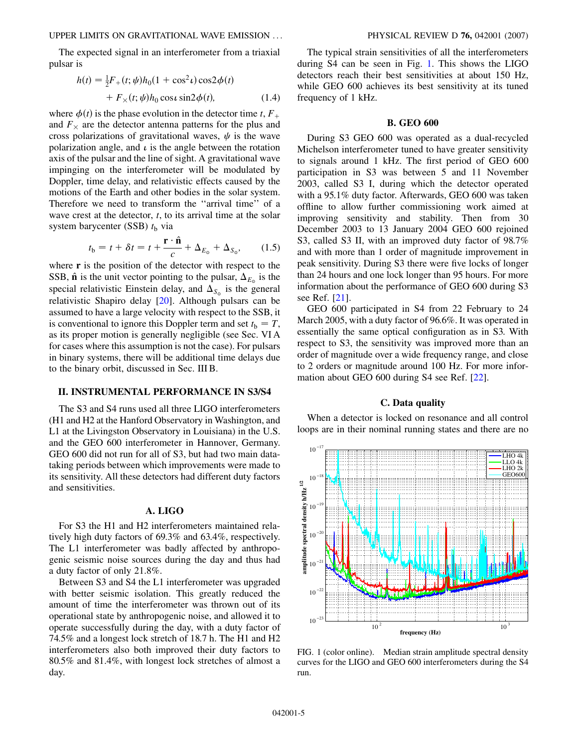#### UPPER LIMITS ON GRAVITATIONAL WAVE EMISSION ... PHYSICAL REVIEW D **76,** 042001 (2007)

The expected signal in an interferometer from a triaxial pulsar is

$$
h(t) = \frac{1}{2}F_{+}(t; \psi)h_{0}(1 + \cos^{2} \iota)\cos 2\phi(t) + F_{\times}(t; \psi)h_{0}\cos \iota\sin 2\phi(t),
$$
 (1.4)

where  $\phi(t)$  is the phase evolution in the detector time *t*,  $F_+$ and  $F<sub>\times</sub>$  are the detector antenna patterns for the plus and cross polarizations of gravitational waves,  $\psi$  is the wave polarization angle, and  $\iota$  is the angle between the rotation axis of the pulsar and the line of sight. A gravitational wave impinging on the interferometer will be modulated by Doppler, time delay, and relativistic effects caused by the motions of the Earth and other bodies in the solar system. Therefore we need to transform the ''arrival time'' of a wave crest at the detector, *t*, to its arrival time at the solar system barycenter (SSB)  $t<sub>b</sub>$  via

$$
t_{\rm b} = t + \delta t = t + \frac{\mathbf{r} \cdot \hat{\mathbf{n}}}{c} + \Delta_{E_{\rm o}} + \Delta_{S_{\rm o}},\qquad(1.5)
$$

<span id="page-7-1"></span>where **r** is the position of the detector with respect to the SSB,  $\hat{\mathbf{n}}$  is the unit vector pointing to the pulsar,  $\Delta_{E_{\phi}}$  is the special relativistic Einstein delay, and  $\Delta_{S_{\phi}}$  is the general relativistic Shapiro delay [[20](#page-22-6)]. Although pulsars can be assumed to have a large velocity with respect to the SSB, it is conventional to ignore this Doppler term and set  $t<sub>b</sub> = T$ , as its proper motion is generally negligible (see Sec. VI A for cases where this assumption is not the case). For pulsars in binary systems, there will be additional time delays due to the binary orbit, discussed in Sec. III B.

### **II. INSTRUMENTAL PERFORMANCE IN S3/S4**

The S3 and S4 runs used all three LIGO interferometers (H1 and H2 at the Hanford Observatory in Washington, and L1 at the Livingston Observatory in Louisiana) in the U.S. and the GEO 600 interferometer in Hannover, Germany. GEO 600 did not run for all of S3, but had two main datataking periods between which improvements were made to its sensitivity. All these detectors had different duty factors and sensitivities.

#### **A. LIGO**

For S3 the H1 and H2 interferometers maintained relatively high duty factors of 69.3% and 63.4%, respectively. The L1 interferometer was badly affected by anthropogenic seismic noise sources during the day and thus had a duty factor of only 21.8%.

Between S3 and S4 the L1 interferometer was upgraded with better seismic isolation. This greatly reduced the amount of time the interferometer was thrown out of its operational state by anthropogenic noise, and allowed it to operate successfully during the day, with a duty factor of 74.5% and a longest lock stretch of 18.7 h. The H1 and H2 interferometers also both improved their duty factors to 80.5% and 81.4%, with longest lock stretches of almost a day.

The typical strain sensitivities of all the interferometers during S4 can be seen in Fig. [1](#page-7-0). This shows the LIGO detectors reach their best sensitivities at about 150 Hz, while GEO 600 achieves its best sensitivity at its tuned frequency of 1 kHz.

#### **B. GEO 600**

During S3 GEO 600 was operated as a dual-recycled Michelson interferometer tuned to have greater sensitivity to signals around 1 kHz. The first period of GEO 600 participation in S3 was between 5 and 11 November 2003, called S3 I, during which the detector operated with a 95.1% duty factor. Afterwards, GEO 600 was taken offline to allow further commissioning work aimed at improving sensitivity and stability. Then from 30 December 2003 to 13 January 2004 GEO 600 rejoined S3, called S3 II, with an improved duty factor of 98.7% and with more than 1 order of magnitude improvement in peak sensitivity. During S3 there were five locks of longer than 24 hours and one lock longer than 95 hours. For more information about the performance of GEO 600 during S3 see Ref. [[21](#page-22-7)].

GEO 600 participated in S4 from 22 February to 24 March 2005, with a duty factor of 96.6%. It was operated in essentially the same optical configuration as in S3. With respect to S3, the sensitivity was improved more than an order of magnitude over a wide frequency range, and close to 2 orders or magnitude around 100 Hz. For more information about GEO 600 during S4 see Ref. [[22](#page-22-8)].

#### **C. Data quality**

When a detector is locked on resonance and all control loops are in their nominal running states and there are no

<span id="page-7-0"></span>

FIG. 1 (color online). Median strain amplitude spectral density curves for the LIGO and GEO 600 interferometers during the S4 run.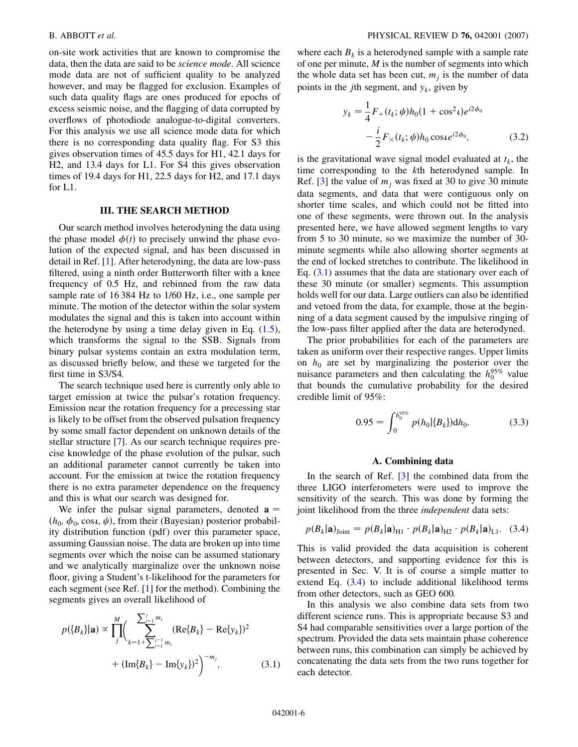on-site work activities that are known to compromise the data, then the data are said to be *science mode*. All science mode data are not of sufficient quality to be analyzed however, and may be flagged for exclusion. Examples of such data quality flags are ones produced for epochs of excess seismic noise, and the flagging of data corrupted by overflows of photodiode analogue-to-digital converters. For this analysis we use all science mode data for which there is no corresponding data quality flag. For S3 this gives observation times of 45.5 days for H1, 42.1 days for H2, and 13.4 days for L1. For S4 this gives observation times of 19.4 days for H1, 22.5 days for H2, and 17.1 days for L1.

### **III. THE SEARCH METHOD**

Our search method involves heterodyning the data using the phase model  $\phi(t)$  to precisely unwind the phase evolution of the expected signal, and has been discussed in detail in Ref. [[1\]](#page-21-0). After heterodyning, the data are low-pass filtered, using a ninth order Butterworth filter with a knee frequency of 0.5 Hz, and rebinned from the raw data sample rate of 16 384 Hz to 1/60 Hz, i.e., one sample per minute. The motion of the detector within the solar system modulates the signal and this is taken into account within the heterodyne by using a time delay given in Eq.  $(1.5)$  $(1.5)$ , which transforms the signal to the SSB. Signals from binary pulsar systems contain an extra modulation term, as discussed briefly below, and these we targeted for the first time in S3/S4.

The search technique used here is currently only able to target emission at twice the pulsar's rotation frequency. Emission near the rotation frequency for a precessing star is likely to be offset from the observed pulsation frequency by some small factor dependent on unknown details of the stellar structure [[7](#page-21-6)]. As our search technique requires precise knowledge of the phase evolution of the pulsar, such an additional parameter cannot currently be taken into account. For the emission at twice the rotation frequency there is no extra parameter dependence on the frequency and this is what our search was designed for.

We infer the pulsar signal parameters, denoted  $\mathbf{a} =$  $(h_0, \phi_0, \cos \iota, \psi)$ , from their (Bayesian) posterior probability distribution function (pdf) over this parameter space, assuming Gaussian noise. The data are broken up into time segments over which the noise can be assumed stationary and we analytically marginalize over the unknown noise floor, giving a Student's t-likelihood for the parameters for each segment (see Ref. [[1\]](#page-21-0) for the method). Combining the segments gives an overall likelihood of

<span id="page-8-0"></span>
$$
p({B_k}]|a) \propto \prod_{j}^{M} \left( \sum_{k=1+\sum_{j=1}^{j-1} m_i}^{ \sum_{j=1}^{j} m_i} (Re{B_k} - Re{y_k})^2 + (Im{B_k} - Im{y_k})^2 \right)^{-m_j},
$$
 (3.1)

where each  $B_k$  is a heterodyned sample with a sample rate of one per minute, *M* is the number of segments into which the whole data set has been cut,  $m_i$  is the number of data points in the *j*th segment, and  $y_k$ , given by

$$
y_k = \frac{1}{4} F_+(t_k; \psi) h_0 (1 + \cos^2 \nu) e^{i2\phi_0}
$$

$$
- \frac{i}{2} F_\times(t_k; \psi) h_0 \cos \nu e^{i2\phi_0}, \tag{3.2}
$$

is the gravitational wave signal model evaluated at  $t_k$ , the time corresponding to the *k*th heterodyned sample. In Ref. [\[3](#page-21-2)] the value of  $m_i$  was fixed at 30 to give 30 minute data segments, and data that were contiguous only on shorter time scales, and which could not be fitted into one of these segments, were thrown out. In the analysis presented here, we have allowed segment lengths to vary from 5 to 30 minute, so we maximize the number of 30 minute segments while also allowing shorter segments at the end of locked stretches to contribute. The likelihood in Eq.  $(3.1)$  $(3.1)$  $(3.1)$  assumes that the data are stationary over each of these 30 minute (or smaller) segments. This assumption holds well for our data. Large outliers can also be identified and vetoed from the data, for example, those at the beginning of a data segment caused by the impulsive ringing of the low-pass filter applied after the data are heterodyned.

<span id="page-8-2"></span>The prior probabilities for each of the parameters are taken as uniform over their respective ranges. Upper limits on  $h_0$  are set by marginalizing the posterior over the nuisance parameters and then calculating the  $h_0^{95\%}$  value that bounds the cumulative probability for the desired credible limit of 95%:

$$
0.95 = \int_0^{h_0^{95\%}} p(h_0|\{B_k\}) dh_0.
$$
 (3.3)

#### **A. Combining data**

In the search of Ref. [\[3](#page-21-2)] the combined data from the three LIGO interferometers were used to improve the sensitivity of the search. This was done by forming the joint likelihood from the three *independent* data sets:

<span id="page-8-1"></span>
$$
p(B_k|\mathbf{a})_{\text{Joint}} = p(B_k|\mathbf{a})_{\text{H1}} \cdot p(B_k|\mathbf{a})_{\text{H2}} \cdot p(B_k|\mathbf{a})_{\text{L1}}.
$$
 (3.4)

This is valid provided the data acquisition is coherent between detectors, and supporting evidence for this is presented in Sec. V. It is of course a simple matter to extend Eq. [\(3.4\)](#page-8-1) to include additional likelihood terms from other detectors, such as GEO 600.

In this analysis we also combine data sets from two different science runs. This is appropriate because S3 and S4 had comparable sensitivities over a large portion of the spectrum. Provided the data sets maintain phase coherence between runs, this combination can simply be achieved by concatenating the data sets from the two runs together for each detector.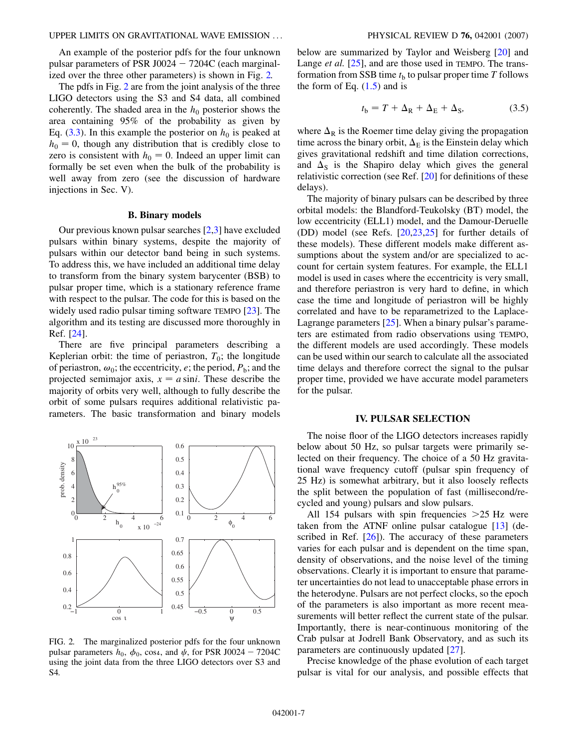An example of the posterior pdfs for the four unknown pulsar parameters of PSR J0024  $- 7204C$  (each marginalized over the three other parameters) is shown in Fig. [2.](#page-9-0)

The pdfs in Fig. [2](#page-9-0) are from the joint analysis of the three LIGO detectors using the S3 and S4 data, all combined coherently. The shaded area in the  $h_0$  posterior shows the area containing 95% of the probability as given by Eq.  $(3.3)$  $(3.3)$  $(3.3)$ . In this example the posterior on  $h_0$  is peaked at  $h_0 = 0$ , though any distribution that is credibly close to zero is consistent with  $h_0 = 0$ . Indeed an upper limit can formally be set even when the bulk of the probability is well away from zero (see the discussion of hardware injections in Sec. V).

#### **B. Binary models**

Our previous known pulsar searches [[2](#page-21-1)[,3\]](#page-21-2) have excluded pulsars within binary systems, despite the majority of pulsars within our detector band being in such systems. To address this, we have included an additional time delay to transform from the binary system barycenter (BSB) to pulsar proper time, which is a stationary reference frame with respect to the pulsar. The code for this is based on the widely used radio pulsar timing software TEMPO [\[23\]](#page-22-9). The algorithm and its testing are discussed more thoroughly in Ref. [\[24\]](#page-22-10).

There are five principal parameters describing a Keplerian orbit: the time of periastron,  $T_0$ ; the longitude of periastron,  $\omega_0$ ; the eccentricity, *e*; the period,  $P_b$ ; and the projected semimajor axis,  $x = a \sin i$ . These describe the majority of orbits very well, although to fully describe the orbit of some pulsars requires additional relativistic parameters. The basic transformation and binary models

<span id="page-9-0"></span>

FIG. 2. The marginalized posterior pdfs for the four unknown pulsar parameters  $h_0$ ,  $\phi_0$ , cos*i*, and  $\psi$ , for PSR J0024 - 7204C using the joint data from the three LIGO detectors over S3 and S4.

below are summarized by Taylor and Weisberg [\[20\]](#page-22-6) and Lange *et al.* [[25](#page-22-11)], and are those used in TEMPO. The transformation from SSB time  $t<sub>b</sub>$  to pulsar proper time  $T$  follows the form of Eq.  $(1.5)$  $(1.5)$  and is

$$
t_{\rm b} = T + \Delta_{\rm R} + \Delta_{\rm E} + \Delta_{\rm S},\tag{3.5}
$$

where  $\Delta_R$  is the Roemer time delay giving the propagation time across the binary orbit,  $\Delta_E$  is the Einstein delay which gives gravitational redshift and time dilation corrections, and  $\Delta$ <sub>S</sub> is the Shapiro delay which gives the general relativistic correction (see Ref. [[20](#page-22-6)] for definitions of these delays).

The majority of binary pulsars can be described by three orbital models: the Blandford-Teukolsky (BT) model, the low eccentricity (ELL1) model, and the Damour-Deruelle (DD) model (see Refs. [\[20,](#page-22-6)[23](#page-22-9)[,25\]](#page-22-11) for further details of these models). These different models make different assumptions about the system and/or are specialized to account for certain system features. For example, the ELL1 model is used in cases where the eccentricity is very small, and therefore periastron is very hard to define, in which case the time and longitude of periastron will be highly correlated and have to be reparametrized to the Laplace-Lagrange parameters [[25](#page-22-11)]. When a binary pulsar's parameters are estimated from radio observations using TEMPO, the different models are used accordingly. These models can be used within our search to calculate all the associated time delays and therefore correct the signal to the pulsar proper time, provided we have accurate model parameters for the pulsar.

#### **IV. PULSAR SELECTION**

The noise floor of the LIGO detectors increases rapidly below about 50 Hz, so pulsar targets were primarily selected on their frequency. The choice of a 50 Hz gravitational wave frequency cutoff (pulsar spin frequency of 25 Hz) is somewhat arbitrary, but it also loosely reflects the split between the population of fast (millisecond/recycled and young) pulsars and slow pulsars.

All 154 pulsars with spin frequencies *>*25 Hz were taken from the ATNF online pulsar catalogue  $[13]$  $[13]$  $[13]$  (described in Ref.  $[26]$  $[26]$  $[26]$ . The accuracy of these parameters varies for each pulsar and is dependent on the time span, density of observations, and the noise level of the timing observations. Clearly it is important to ensure that parameter uncertainties do not lead to unacceptable phase errors in the heterodyne. Pulsars are not perfect clocks, so the epoch of the parameters is also important as more recent measurements will better reflect the current state of the pulsar. Importantly, there is near-continuous monitoring of the Crab pulsar at Jodrell Bank Observatory, and as such its parameters are continuously updated [[27](#page-22-13)].

Precise knowledge of the phase evolution of each target pulsar is vital for our analysis, and possible effects that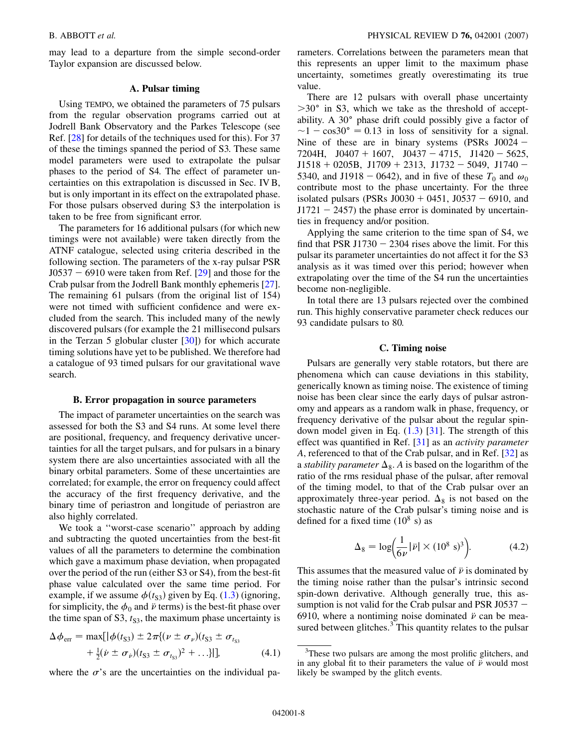may lead to a departure from the simple second-order Taylor expansion are discussed below.

#### **A. Pulsar timing**

Using TEMPO, we obtained the parameters of 75 pulsars from the regular observation programs carried out at Jodrell Bank Observatory and the Parkes Telescope (see Ref. [[28](#page-22-14)] for details of the techniques used for this). For 37 of these the timings spanned the period of S3. These same model parameters were used to extrapolate the pulsar phases to the period of S4. The effect of parameter uncertainties on this extrapolation is discussed in Sec. IV B, but is only important in its effect on the extrapolated phase. For those pulsars observed during S3 the interpolation is taken to be free from significant error.

The parameters for 16 additional pulsars (for which new timings were not available) were taken directly from the ATNF catalogue, selected using criteria described in the following section. The parameters of the x-ray pulsar PSR  $J0537 - 6910$  were taken from Ref. [[29](#page-22-15)] and those for the Crab pulsar from the Jodrell Bank monthly ephemeris [[27\]](#page-22-13). The remaining 61 pulsars (from the original list of 154) were not timed with sufficient confidence and were excluded from the search. This included many of the newly discovered pulsars (for example the 21 millisecond pulsars in the Terzan 5 globular cluster  $[30]$  $[30]$  for which accurate timing solutions have yet to be published. We therefore had a catalogue of 93 timed pulsars for our gravitational wave search.

#### **B. Error propagation in source parameters**

The impact of parameter uncertainties on the search was assessed for both the S3 and S4 runs. At some level there are positional, frequency, and frequency derivative uncertainties for all the target pulsars, and for pulsars in a binary system there are also uncertainties associated with all the binary orbital parameters. Some of these uncertainties are correlated; for example, the error on frequency could affect the accuracy of the first frequency derivative, and the binary time of periastron and longitude of periastron are also highly correlated.

We took a ''worst-case scenario'' approach by adding and subtracting the quoted uncertainties from the best-fit values of all the parameters to determine the combination which gave a maximum phase deviation, when propagated over the period of the run (either S3 or S4), from the best-fit phase value calculated over the same time period. For example, if we assume  $\phi(t_{S3})$  given by Eq. [\(1.3\)](#page-6-0) (ignoring, for simplicity, the  $\phi_0$  and  $\ddot{\nu}$  terms) is the best-fit phase over the time span of S3,  $t_{S3}$ , the maximum phase uncertainty is

$$
\Delta \phi_{\text{err}} = \max[ |\phi(t_{S3}) \pm 2\pi \{ (\nu \pm \sigma_{\nu})(t_{S3} \pm \sigma_{t_{S3}}) + \frac{1}{2} (\nu \pm \sigma_{\nu})(t_{S3} \pm \sigma_{t_{S3}})^2 + \ldots \}] ],
$$
\n(4.1)

where the  $\sigma$ 's are the uncertainties on the individual pa-

rameters. Correlations between the parameters mean that this represents an upper limit to the maximum phase uncertainty, sometimes greatly overestimating its true value.

There are 12 pulsars with overall phase uncertainty *>*30 in S3, which we take as the threshold of acceptability. A  $30^\circ$  phase drift could possibly give a factor of  $\sim$ 1 - cos30° = 0.13 in loss of sensitivity for a signal. Nine of these are in binary systems  $(PSRs J0024 - )$  $7204H$ ,  $J0407 + 1607$ ,  $J0437 - 4715$ ,  $J1420 - 5625$ ,  $J1518 + 0205B$ ,  $J1709 + 2313$ ,  $J1732 - 5049$ ,  $J1740 -$ 5340, and J1918 – 0642), and in five of these  $T_0$  and  $\omega_0$ contribute most to the phase uncertainty. For the three isolated pulsars (PSRs  $J0030 + 0451$ ,  $J0537 - 6910$ , and  $J1721 - 2457$ ) the phase error is dominated by uncertainties in frequency and/or position.

Applying the same criterion to the time span of S4, we find that PSR J1730  $-$  2304 rises above the limit. For this pulsar its parameter uncertainties do not affect it for the S3 analysis as it was timed over this period; however when extrapolating over the time of the S4 run the uncertainties become non-negligible.

In total there are 13 pulsars rejected over the combined run. This highly conservative parameter check reduces our 93 candidate pulsars to 80.

#### **C. Timing noise**

Pulsars are generally very stable rotators, but there are phenomena which can cause deviations in this stability, generically known as timing noise. The existence of timing noise has been clear since the early days of pulsar astronomy and appears as a random walk in phase, frequency, or frequency derivative of the pulsar about the regular spindown model given in Eq.  $(1.3)$  $(1.3)$  [[31](#page-22-17)]. The strength of this effect was quantified in Ref. [\[31\]](#page-22-17) as an *activity parameter A*, referenced to that of the Crab pulsar, and in Ref. [[32](#page-22-18)] as a *stability parameter*  $\Delta_8$ . A is based on the logarithm of the ratio of the rms residual phase of the pulsar, after removal of the timing model, to that of the Crab pulsar over an approximately three-year period.  $\Delta_8$  is not based on the stochastic nature of the Crab pulsar's timing noise and is defined for a fixed time  $(10^8 \text{ s})$  as

$$
\Delta_8 = \log \left( \frac{1}{6\nu} |\ddot{\nu}| \times (10^8 \text{ s})^3 \right).
$$
 (4.2)

<span id="page-10-0"></span>This assumes that the measured value of  $\ddot{\nu}$  is dominated by the timing noise rather than the pulsar's intrinsic second spin-down derivative. Although generally true, this assumption is not valid for the Crab pulsar and PSR J0537  $-$ 6910, where a nontiming noise dominated  $\ddot{\nu}$  can be measured between glitches.<sup>3</sup> This quantity relates to the pulsar

<sup>&</sup>lt;sup>3</sup>These two pulsars are among the most prolific glitchers, and in any global fit to their parameters the value of  $\ddot{\nu}$  would most likely be swamped by the glitch events.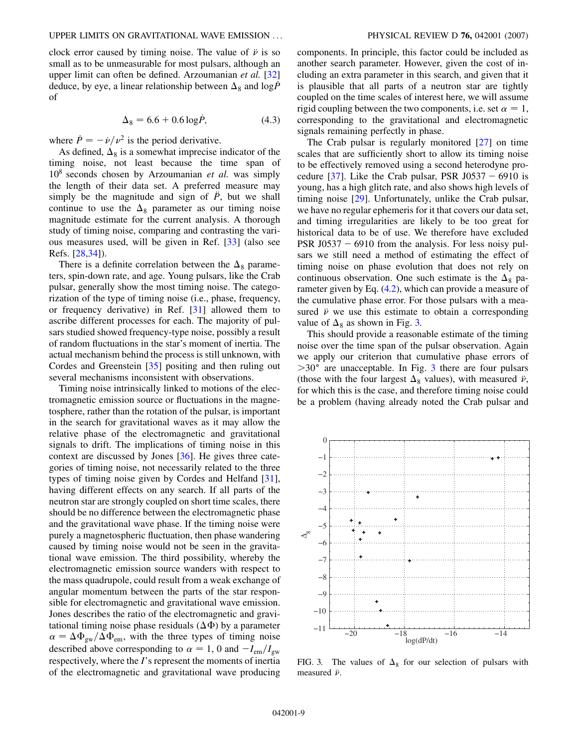clock error caused by timing noise. The value of  $\ddot{\nu}$  is so small as to be unmeasurable for most pulsars, although an upper limit can often be defined. Arzoumanian *et al.* [\[32\]](#page-22-18) deduce, by eye, a linear relationship between  $\Delta_8$  and  $\log \tilde{P}$ of

$$
\Delta_8 = 6.6 + 0.6 \log \dot{P}, \tag{4.3}
$$

<span id="page-11-1"></span>where  $\dot{P} = -\dot{\nu}/\nu^2$  is the period derivative.

As defined,  $\Delta_8$  is a somewhat imprecise indicator of the timing noise, not least because the time span of 10<sup>8</sup> seconds chosen by Arzoumanian *et al.* was simply the length of their data set. A preferred measure may simply be the magnitude and sign of  $\ddot{P}$ , but we shall continue to use the  $\Delta_8$  parameter as our timing noise magnitude estimate for the current analysis. A thorough study of timing noise, comparing and contrasting the various measures used, will be given in Ref. [[33](#page-22-19)] (also see Refs. [\[28](#page-22-14)[,34\]](#page-22-20)).

There is a definite correlation between the  $\Delta_8$  parameters, spin-down rate, and age. Young pulsars, like the Crab pulsar, generally show the most timing noise. The categorization of the type of timing noise (i.e., phase, frequency, or frequency derivative) in Ref. [\[31\]](#page-22-17) allowed them to ascribe different processes for each. The majority of pulsars studied showed frequency-type noise, possibly a result of random fluctuations in the star's moment of inertia. The actual mechanism behind the process is still unknown, with Cordes and Greenstein [[35](#page-22-21)] positing and then ruling out several mechanisms inconsistent with observations.

Timing noise intrinsically linked to motions of the electromagnetic emission source or fluctuations in the magnetosphere, rather than the rotation of the pulsar, is important in the search for gravitational waves as it may allow the relative phase of the electromagnetic and gravitational signals to drift. The implications of timing noise in this context are discussed by Jones [[36](#page-22-22)]. He gives three categories of timing noise, not necessarily related to the three types of timing noise given by Cordes and Helfand [\[31\]](#page-22-17), having different effects on any search. If all parts of the neutron star are strongly coupled on short time scales, there should be no difference between the electromagnetic phase and the gravitational wave phase. If the timing noise were purely a magnetospheric fluctuation, then phase wandering caused by timing noise would not be seen in the gravitational wave emission. The third possibility, whereby the electromagnetic emission source wanders with respect to the mass quadrupole, could result from a weak exchange of angular momentum between the parts of the star responsible for electromagnetic and gravitational wave emission. Jones describes the ratio of the electromagnetic and gravitational timing noise phase residuals  $(\Delta \Phi)$  by a parameter  $\alpha = \Delta \Phi_{\rm gw}/\Delta \Phi_{\rm em}$ , with the three types of timing noise described above corresponding to  $\alpha = 1$ , 0 and  $-I_{\rm em}/I_{\rm gw}$ respectively, where the *I*'s represent the moments of inertia of the electromagnetic and gravitational wave producing components. In principle, this factor could be included as another search parameter. However, given the cost of including an extra parameter in this search, and given that it is plausible that all parts of a neutron star are tightly coupled on the time scales of interest here, we will assume rigid coupling between the two components, i.e. set  $\alpha = 1$ , corresponding to the gravitational and electromagnetic signals remaining perfectly in phase.

The Crab pulsar is regularly monitored [\[27\]](#page-22-13) on time scales that are sufficiently short to allow its timing noise to be effectively removed using a second heterodyne procedure  $[37]$ . Like the Crab pulsar, PSR J0537 - 6910 is young, has a high glitch rate, and also shows high levels of timing noise [[29](#page-22-15)]. Unfortunately, unlike the Crab pulsar, we have no regular ephemeris for it that covers our data set, and timing irregularities are likely to be too great for historical data to be of use. We therefore have excluded PSR J0537 - 6910 from the analysis. For less noisy pulsars we still need a method of estimating the effect of timing noise on phase evolution that does not rely on continuous observation. One such estimate is the  $\Delta_8$  parameter given by Eq. [\(4.2\)](#page-10-0), which can provide a measure of the cumulative phase error. For those pulsars with a measured  $\ddot{\nu}$  we use this estimate to obtain a corresponding value of  $\Delta_8$  as shown in Fig. [3.](#page-11-0)

This should provide a reasonable estimate of the timing noise over the time span of the pulsar observation. Again we apply our criterion that cumulative phase errors of *>*30 are unacceptable. In Fig. [3](#page-11-0) there are four pulsars (those with the four largest  $\Delta_8$  values), with measured  $\ddot{\nu}$ , for which this is the case, and therefore timing noise could be a problem (having already noted the Crab pulsar and

<span id="page-11-0"></span>

FIG. 3. The values of  $\Delta_8$  for our selection of pulsars with measured  $\ddot{\nu}$ .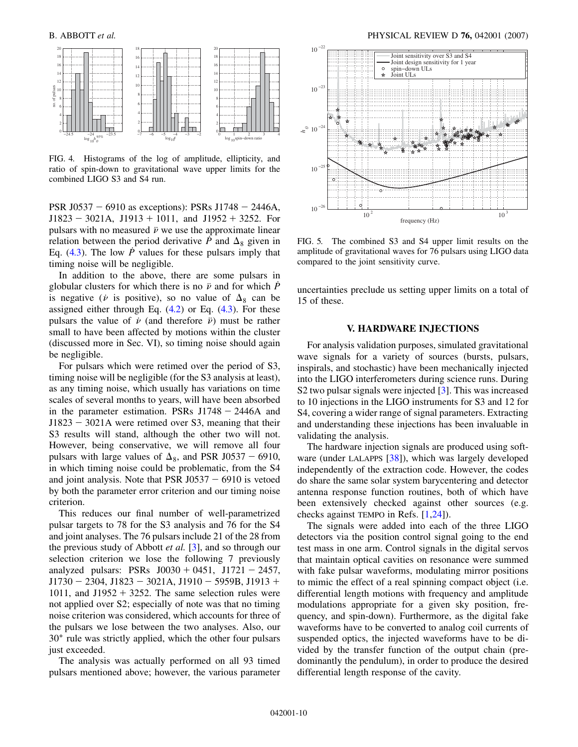<span id="page-12-0"></span>

FIG. 4. Histograms of the log of amplitude, ellipticity, and ratio of spin-down to gravitational wave upper limits for the combined LIGO S3 and S4 run.

PSR J0537 – 6910 as exceptions): PSRs J1748 – 2446A,  $J1823 - 3021A$ ,  $J1913 + 1011$ , and  $J1952 + 3252$ . For pulsars with no measured  $\ddot{\nu}$  we use the approximate linear relation between the period derivative  $\hat{P}$  and  $\Delta_8$  given in Eq.  $(4.3)$  $(4.3)$  $(4.3)$ . The low *P* values for these pulsars imply that timing noise will be negligible.

In addition to the above, there are some pulsars in globular clusters for which there is no  $\ddot{\nu}$  and for which  $\dot{P}$ is negative ( $\nu$  is positive), so no value of  $\Delta_8$  can be assigned either through Eq.  $(4.2)$  or Eq.  $(4.3)$ . For these pulsars the value of  $\dot{\nu}$  (and therefore  $\ddot{\nu}$ ) must be rather small to have been affected by motions within the cluster (discussed more in Sec. VI), so timing noise should again be negligible.

For pulsars which were retimed over the period of S3, timing noise will be negligible (for the S3 analysis at least), as any timing noise, which usually has variations on time scales of several months to years, will have been absorbed in the parameter estimation. PSRs  $J1748 - 2446A$  and J1823 - 3021A were retimed over S3, meaning that their S3 results will stand, although the other two will not. However, being conservative, we will remove all four pulsars with large values of  $\Delta_8$ , and PSR J0537 - 6910, in which timing noise could be problematic, from the S4 and joint analysis. Note that PSR  $J0537 - 6910$  is vetoed by both the parameter error criterion and our timing noise criterion.

This reduces our final number of well-parametrized pulsar targets to 78 for the S3 analysis and 76 for the S4 and joint analyses. The 76 pulsars include 21 of the 28 from the previous study of Abbott *et al.* [\[3](#page-21-2)], and so through our selection criterion we lose the following 7 previously analyzed pulsars: PSRs  $J0030 + 0451$ ,  $J1721 - 2457$ ,  $J1730 - 2304$ ,  $J1823 - 3021$ A,  $J1910 - 5959$ B,  $J1913 +$ 1011, and J1952  $+$  3252. The same selection rules were not applied over S2; especially of note was that no timing noise criterion was considered, which accounts for three of the pulsars we lose between the two analyses. Also, our 30 rule was strictly applied, which the other four pulsars just exceeded.

The analysis was actually performed on all 93 timed pulsars mentioned above; however, the various parameter

<span id="page-12-1"></span>

FIG. 5. The combined S3 and S4 upper limit results on the amplitude of gravitational waves for 76 pulsars using LIGO data compared to the joint sensitivity curve.

uncertainties preclude us setting upper limits on a total of 15 of these.

#### **V. HARDWARE INJECTIONS**

For analysis validation purposes, simulated gravitational wave signals for a variety of sources (bursts, pulsars, inspirals, and stochastic) have been mechanically injected into the LIGO interferometers during science runs. During S2 two pulsar signals were injected [\[3\]](#page-21-2). This was increased to 10 injections in the LIGO instruments for S3 and 12 for S4, covering a wider range of signal parameters. Extracting and understanding these injections has been invaluable in validating the analysis.

The hardware injection signals are produced using software (under LALAPPS [[38](#page-22-24)]), which was largely developed independently of the extraction code. However, the codes do share the same solar system barycentering and detector antenna response function routines, both of which have been extensively checked against other sources (e.g. checks against TEMPO in Refs. [\[1](#page-21-0),[24](#page-22-10)]).

The signals were added into each of the three LIGO detectors via the position control signal going to the end test mass in one arm. Control signals in the digital servos that maintain optical cavities on resonance were summed with fake pulsar waveforms, modulating mirror positions to mimic the effect of a real spinning compact object (i.e. differential length motions with frequency and amplitude modulations appropriate for a given sky position, frequency, and spin-down). Furthermore, as the digital fake waveforms have to be converted to analog coil currents of suspended optics, the injected waveforms have to be divided by the transfer function of the output chain (predominantly the pendulum), in order to produce the desired differential length response of the cavity.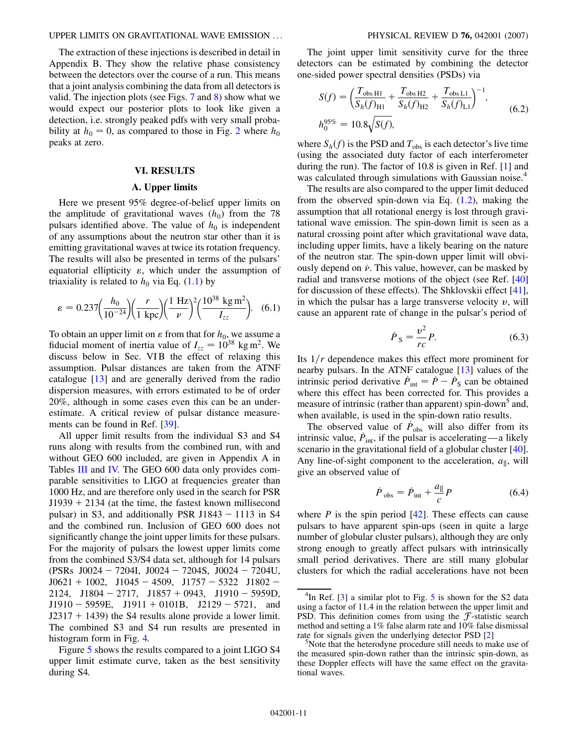#### UPPER LIMITS ON GRAVITATIONAL WAVE EMISSION ... PHYSICAL REVIEW D **76,** 042001 (2007)

The extraction of these injections is described in detail in Appendix B. They show the relative phase consistency between the detectors over the course of a run. This means that a joint analysis combining the data from all detectors is valid. The injection plots (see Figs. [7](#page-16-0) and [8\)](#page-17-0) show what we would expect our posterior plots to look like given a detection, i.e. strongly peaked pdfs with very small probability at  $h_0 = 0$ , as compared to those in Fig. [2](#page-9-0) where  $h_0$ peaks at zero.

### **VI. RESULTS**

#### **A. Upper limits**

Here we present 95% degree-of-belief upper limits on the amplitude of gravitational waves  $(h_0)$  from the 78 pulsars identified above. The value of  $h_0$  is independent of any assumptions about the neutron star other than it is emitting gravitational waves at twice its rotation frequency. The results will also be presented in terms of the pulsars' equatorial ellipticity  $\varepsilon$ , which under the assumption of triaxiality is related to  $h_0$  via Eq. [\(1.1](#page-5-1)) by

<span id="page-13-0"></span>
$$
\varepsilon = 0.237 \left( \frac{h_0}{10^{-24}} \right) \left( \frac{r}{1 \text{ kpc}} \right) \left( \frac{1 \text{ Hz}}{\nu} \right)^2 \left( \frac{10^{38} \text{ kg m}^2}{I_{zz}} \right). \tag{6.1}
$$

To obtain an upper limit on  $\varepsilon$  from that for  $h_0$ , we assume a fiducial moment of inertia value of  $I_{zz} = 10^{38}$  kg m<sup>2</sup>. We discuss below in Sec. VIB the effect of relaxing this assumption. Pulsar distances are taken from the ATNF catalogue [\[13](#page-21-12)] and are generally derived from the radio dispersion measures, with errors estimated to be of order 20%, although in some cases even this can be an underestimate. A critical review of pulsar distance measurements can be found in Ref. [\[39\]](#page-22-25).

All upper limit results from the individual S3 and S4 runs along with results from the combined run, with and without GEO 600 included, are given in Appendix A in Tables [III](#page-19-0) and [IV.](#page-21-13) The GEO 600 data only provides comparable sensitivities to LIGO at frequencies greater than 1000 Hz, and are therefore only used in the search for PSR  $J1939 + 2134$  (at the time, the fastest known millisecond pulsar) in S3, and additionally PSR J1843  $-$  1113 in S4 and the combined run. Inclusion of GEO 600 does not significantly change the joint upper limits for these pulsars. For the majority of pulsars the lowest upper limits come from the combined S3/S4 data set, although for 14 pulsars (PSRs J0024 - 7204I, J0024 - 7204S, J0024 - 7204U,  $J0621 + 1002$ ,  $J1045 - 4509$ ,  $J1757 - 5322$   $J1802 2124$ ,  $J1804 - 2717$ ,  $J1857 + 0943$ ,  $J1910 - 5959D$ ,  $J1910 - 5959E$ ,  $J1911 + 0101B$ ,  $J2129 - 5721$ , and  $J2317 + 1439$ ) the S4 results alone provide a lower limit. The combined S3 and S4 run results are presented in histogram form in Fig. [4.](#page-12-0)

Figure [5](#page-12-1) shows the results compared to a joint LIGO S4 upper limit estimate curve, taken as the best sensitivity during S4.

The joint upper limit sensitivity curve for the three detectors can be estimated by combining the detector one-sided power spectral densities (PSDs) via

$$
S(f) = \left(\frac{T_{\text{obs H1}}}{S_h(f)_{\text{H1}}} + \frac{T_{\text{obs H2}}}{S_h(f)_{\text{H2}}} + \frac{T_{\text{obs L1}}}{S_h(f)_{\text{L1}}}\right)^{-1},
$$
  

$$
h_0^{95\%} = 10.8\sqrt{S(f)},
$$
 (6.2)

where  $S_h(f)$  is the PSD and  $T_{obs}$  is each detector's live time (using the associated duty factor of each interferometer during the run). The factor of 10.8 is given in Ref. [\[1\]](#page-21-0) and was calculated through simulations with Gaussian noise.<sup>4</sup>

The results are also compared to the upper limit deduced from the observed spin-down via Eq. [\(1.2](#page-6-1)), making the assumption that all rotational energy is lost through gravitational wave emission. The spin-down limit is seen as a natural crossing point after which gravitational wave data, including upper limits, have a likely bearing on the nature of the neutron star. The spin-down upper limit will obviously depend on  $\dot{\nu}$ . This value, however, can be masked by radial and transverse motions of the object (see Ref. [\[40\]](#page-22-26) for discussion of these effects). The Shklovskii effect [[41\]](#page-22-27), in which the pulsar has a large transverse velocity  $v$ , will cause an apparent rate of change in the pulsar's period of

$$
\dot{P}_{\rm S} = \frac{v^2}{rc} P. \tag{6.3}
$$

Its  $1/r$  dependence makes this effect more prominent for nearby pulsars. In the ATNF catalogue [[13](#page-21-12)] values of the intrinsic period derivative  $\dot{P}_{\text{int}} = \dot{P} - \dot{P}_{\text{S}}$  can be obtained where this effect has been corrected for. This provides a measure of intrinsic (rather than apparent) spin-down<sup>5</sup> and, when available, is used in the spin-down ratio results.

The observed value of  $\dot{P}_{\rm obs}$  will also differ from its intrinsic value,  $\dot{P}_{\text{int}}$ , if the pulsar is accelerating—a likely scenario in the gravitational field of a globular cluster [[40\]](#page-22-26). Any line-of-sight component to the acceleration,  $a_{\parallel}$ , will give an observed value of

$$
\dot{P}_{\text{obs}} = \dot{P}_{\text{int}} + \frac{a_{\parallel}}{c} P \tag{6.4}
$$

<span id="page-13-1"></span>where  $P$  is the spin period  $[42]$  $[42]$  $[42]$ . These effects can cause pulsars to have apparent spin-ups (seen in quite a large number of globular cluster pulsars), although they are only strong enough to greatly affect pulsars with intrinsically small period derivatives. There are still many globular clusters for which the radial accelerations have not been

 ${}^{4}$ In Ref. [[3](#page-21-2)] a similar plot to Fig. [5](#page-12-1) is shown for the S2 data using a factor of 11.4 in the relation between the upper limit and PSD. This definition comes from using the  $f$ -statistic search method and setting a 1% false alarm rate and 10% false dismissal rate for signals given the underlying detector PSD [\[2](#page-21-1)]

<sup>&</sup>lt;sup>3</sup>Note that the heterodyne procedure still needs to make use of the measured spin-down rather than the intrinsic spin-down, as these Doppler effects will have the same effect on the gravitational waves.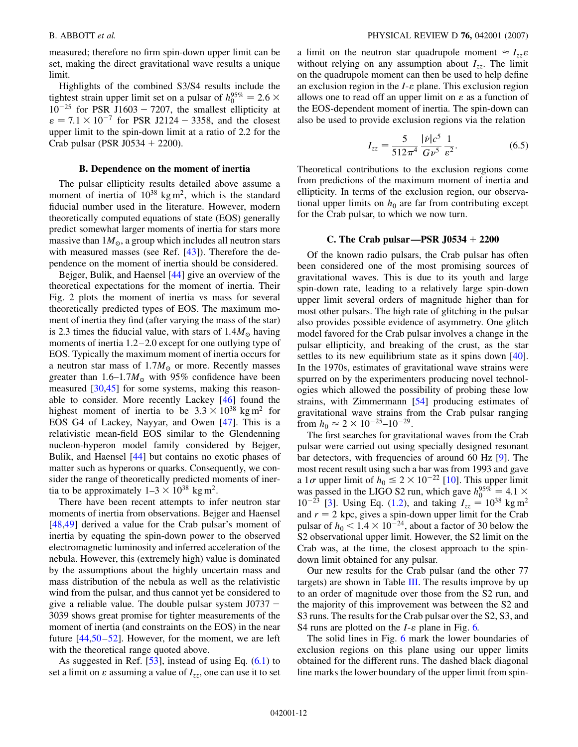measured; therefore no firm spin-down upper limit can be set, making the direct gravitational wave results a unique limit.

Highlights of the combined S3/S4 results include the tightest strain upper limit set on a pulsar of  $h_0^{95\%} = 2.6 \times$  $10^{-25}$  for PSR J1603 - 7207, the smallest ellipticity at  $\epsilon = 7.1 \times 10^{-7}$  for PSR J2124 – 3358, and the closest upper limit to the spin-down limit at a ratio of 2.2 for the Crab pulsar (PSR J0534  $+$  2200).

#### **B. Dependence on the moment of inertia**

The pulsar ellipticity results detailed above assume a moment of inertia of  $10^{38}$  kg m<sup>2</sup>, which is the standard fiducial number used in the literature. However, modern theoretically computed equations of state (EOS) generally predict somewhat larger moments of inertia for stars more massive than  $1M_{\odot}$ , a group which includes all neutron stars with measured masses (see Ref. [[43](#page-22-29)]). Therefore the dependence on the moment of inertia should be considered.

Bejger, Bulik, and Haensel [[44](#page-22-30)] give an overview of the theoretical expectations for the moment of inertia. Their Fig. 2 plots the moment of inertia vs mass for several theoretically predicted types of EOS. The maximum moment of inertia they find (after varying the mass of the star) is 2.3 times the fiducial value, with stars of  $1.4M_{\odot}$  having moments of inertia 1.2–2.0 except for one outlying type of EOS. Typically the maximum moment of inertia occurs for a neutron star mass of 1*:*7*M* or more. Recently masses greater than 1*:*6–1*:*7*M* with 95% confidence have been measured [\[30,](#page-22-16)[45\]](#page-22-31) for some systems, making this reasonable to consider. More recently Lackey [[46](#page-22-32)] found the highest moment of inertia to be  $3.3 \times 10^{38}$  kg m<sup>2</sup> for EOS G4 of Lackey, Nayyar, and Owen [[47](#page-22-33)]. This is a relativistic mean-field EOS similar to the Glendenning nucleon-hyperon model family considered by Bejger, Bulik, and Haensel [[44](#page-22-30)] but contains no exotic phases of matter such as hyperons or quarks. Consequently, we consider the range of theoretically predicted moments of inertia to be approximately  $1-3 \times 10^{38}$  kg m<sup>2</sup>.

There have been recent attempts to infer neutron star moments of inertia from observations. Bejger and Haensel [\[48](#page-22-34)[,49\]](#page-22-35) derived a value for the Crab pulsar's moment of inertia by equating the spin-down power to the observed electromagnetic luminosity and inferred acceleration of the nebula. However, this (extremely high) value is dominated by the assumptions about the highly uncertain mass and mass distribution of the nebula as well as the relativistic wind from the pulsar, and thus cannot yet be considered to give a reliable value. The double pulsar system  $J0737 -$ 3039 shows great promise for tighter measurements of the moment of inertia (and constraints on the EOS) in the near future [[44](#page-22-30)[,50](#page-22-36)–[52](#page-22-37)]. However, for the moment, we are left with the theoretical range quoted above.

As suggested in Ref.  $[53]$  $[53]$  $[53]$ , instead of using Eq.  $(6.1)$  $(6.1)$  $(6.1)$  to set a limit on  $\varepsilon$  assuming a value of  $I_{zz}$ , one can use it to set a limit on the neutron star quadrupole moment  $\approx I_{zz} \varepsilon$ without relying on any assumption about  $I_{zz}$ . The limit on the quadrupole moment can then be used to help define an exclusion region in the  $I$ - $\varepsilon$  plane. This exclusion region allows one to read off an upper limit on  $\varepsilon$  as a function of the EOS-dependent moment of inertia. The spin-down can also be used to provide exclusion regions via the relation

$$
I_{zz} = \frac{5}{512\pi^4} \frac{|\dot{\nu}|c^5}{G\nu^5} \frac{1}{\varepsilon^2}.
$$
 (6.5)

<span id="page-14-0"></span>Theoretical contributions to the exclusion regions come from predictions of the maximum moment of inertia and ellipticity. In terms of the exclusion region, our observational upper limits on  $h_0$  are far from contributing except for the Crab pulsar, to which we now turn.

### **C. The Crab pulsar—PSR J0534 2200**

Of the known radio pulsars, the Crab pulsar has often been considered one of the most promising sources of gravitational waves. This is due to its youth and large spin-down rate, leading to a relatively large spin-down upper limit several orders of magnitude higher than for most other pulsars. The high rate of glitching in the pulsar also provides possible evidence of asymmetry. One glitch model favored for the Crab pulsar involves a change in the pulsar ellipticity, and breaking of the crust, as the star settles to its new equilibrium state as it spins down [[40\]](#page-22-26). In the 1970s, estimates of gravitational wave strains were spurred on by the experimenters producing novel technologies which allowed the possibility of probing these low strains, with Zimmermann [\[54](#page-22-39)] producing estimates of gravitational wave strains from the Crab pulsar ranging from  $h_0 \approx 2 \times 10^{-25} - 10^{-29}$ .

The first searches for gravitational waves from the Crab pulsar were carried out using specially designed resonant bar detectors, with frequencies of around 60 Hz [[9\]](#page-21-8). The most recent result using such a bar was from 1993 and gave a 1 $\sigma$  upper limit of  $h_0 \le 2 \times 10^{-22}$  $h_0 \le 2 \times 10^{-22}$  $h_0 \le 2 \times 10^{-22}$  [10]. This upper limit was passed in the LIGO S2 run, which gave  $h_0^{95\%} = 4.1 \times$  $10^{-23}$  [\[3](#page-21-2)]. Using Eq. ([1.2\)](#page-6-1), and taking  $I_{zz} = 10^{38}$  kg m<sup>2</sup> and  $r = 2$  kpc, gives a spin-down upper limit for the Crab pulsar of  $h_0 < 1.4 \times 10^{-24}$ , about a factor of 30 below the S2 observational upper limit. However, the S2 limit on the Crab was, at the time, the closest approach to the spindown limit obtained for any pulsar.

Our new results for the Crab pulsar (and the other 77 targets) are shown in Table [III](#page-19-0). The results improve by up to an order of magnitude over those from the S2 run, and the majority of this improvement was between the S2 and S3 runs. The results for the Crab pulsar over the S2, S3, and S4 runs are plotted on the  $I$ - $\varepsilon$  plane in Fig. [6.](#page-15-0)

The solid lines in Fig. [6](#page-15-0) mark the lower boundaries of exclusion regions on this plane using our upper limits obtained for the different runs. The dashed black diagonal line marks the lower boundary of the upper limit from spin-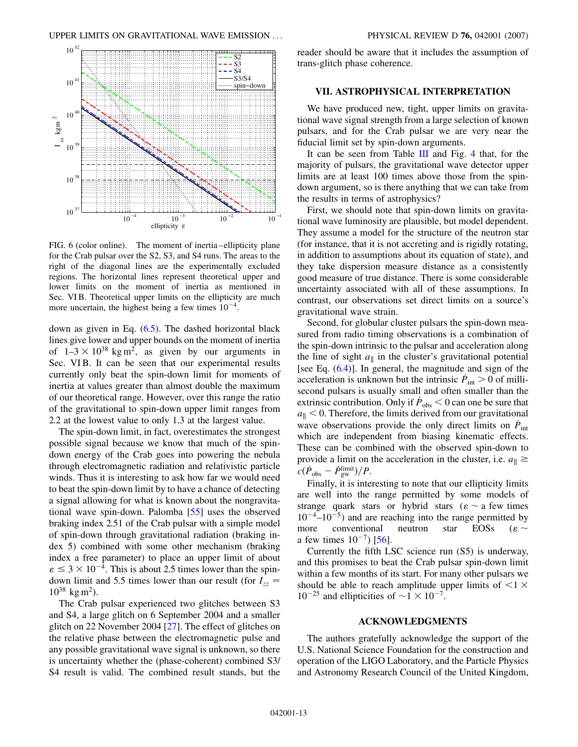<span id="page-15-0"></span>

FIG. 6 (color online). The moment of inertia–ellipticity plane for the Crab pulsar over the S2, S3, and S4 runs. The areas to the right of the diagonal lines are the experimentally excluded regions. The horizontal lines represent theoretical upper and lower limits on the moment of inertia as mentioned in Sec. VI B. Theoretical upper limits on the ellipticity are much more uncertain, the highest being a few times  $10^{-4}$ .

down as given in Eq. [\(6.5\)](#page-14-0). The dashed horizontal black lines give lower and upper bounds on the moment of inertia of  $1-3 \times 10^{38}$  kg m<sup>2</sup>, as given by our arguments in Sec. VIB. It can be seen that our experimental results currently only beat the spin-down limit for moments of inertia at values greater than almost double the maximum of our theoretical range. However, over this range the ratio of the gravitational to spin-down upper limit ranges from 2.2 at the lowest value to only 1.3 at the largest value.

The spin-down limit, in fact, overestimates the strongest possible signal because we know that much of the spindown energy of the Crab goes into powering the nebula through electromagnetic radiation and relativistic particle winds. Thus it is interesting to ask how far we would need to beat the spin-down limit by to have a chance of detecting a signal allowing for what is known about the nongravitational wave spin-down. Palomba [[55](#page-22-40)] uses the observed braking index 2.51 of the Crab pulsar with a simple model of spin-down through gravitational radiation (braking index 5) combined with some other mechanism (braking index a free parameter) to place an upper limit of about  $\varepsilon \leq 3 \times 10^{-4}$ . This is about 2.5 times lower than the spindown limit and 5.5 times lower than our result (for  $I_{zz}$  =  $10^{38}$  kg m<sup>2</sup>).

The Crab pulsar experienced two glitches between S3 and S4, a large glitch on 6 September 2004 and a smaller glitch on 22 November 2004 [[27](#page-22-13)]. The effect of glitches on the relative phase between the electromagnetic pulse and any possible gravitational wave signal is unknown, so there is uncertainty whether the (phase-coherent) combined S3/ S4 result is valid. The combined result stands, but the reader should be aware that it includes the assumption of trans-glitch phase coherence.

### **VII. ASTROPHYSICAL INTERPRETATION**

We have produced new, tight, upper limits on gravitational wave signal strength from a large selection of known pulsars, and for the Crab pulsar we are very near the fiducial limit set by spin-down arguments.

It can be seen from Table [III](#page-19-0) and Fig. [4](#page-12-0) that, for the majority of pulsars, the gravitational wave detector upper limits are at least 100 times above those from the spindown argument, so is there anything that we can take from the results in terms of astrophysics?

First, we should note that spin-down limits on gravitational wave luminosity are plausible, but model dependent. They assume a model for the structure of the neutron star (for instance, that it is not accreting and is rigidly rotating, in addition to assumptions about its equation of state), and they take dispersion measure distance as a consistently good measure of true distance. There is some considerable uncertainty associated with all of these assumptions. In contrast, our observations set direct limits on a source's gravitational wave strain.

Second, for globular cluster pulsars the spin-down measured from radio timing observations is a combination of the spin-down intrinsic to the pulsar and acceleration along the line of sight  $a_{\parallel}$  in the cluster's gravitational potential [see Eq. ([6.4](#page-13-1))]. In general, the magnitude and sign of the acceleration is unknown but the intrinsic  $\dot{P}_{\text{int}} > 0$  of millisecond pulsars is usually small and often smaller than the extrinsic contribution. Only if  $\dot{P}_{obs}$  < 0 can one be sure that  $a_{\parallel}$  < 0. Therefore, the limits derived from our gravitational wave observations provide the only direct limits on  $\dot{P}_{\text{int}}$ which are independent from biasing kinematic effects. These can be combined with the observed spin-down to provide a limit on the acceleration in the cluster, i.e.  $a_{\parallel} \geq$  $c(\dot{P}_{obs} - \dot{P}_{gw}^{limit})/P$ .

Finally, it is interesting to note that our ellipticity limits are well into the range permitted by some models of strange quark stars or hybrid stars ( $\varepsilon \sim a$  few times  $10^{-4}$ – $10^{-5}$ ) and are reaching into the range permitted by more conventional neutron star EOSs ( $\varepsilon \sim$ a few times  $10^{-7}$ ) [\[56\]](#page-22-41).

Currently the fifth LSC science run (S5) is underway, and this promises to beat the Crab pulsar spin-down limit within a few months of its start. For many other pulsars we should be able to reach amplitude upper limits of *<*1  $10^{-25}$  and ellipticities of  $\sim$  1  $\times$  10<sup>-7</sup>.

#### **ACKNOWLEDGMENTS**

The authors gratefully acknowledge the support of the U.S. National Science Foundation for the construction and operation of the LIGO Laboratory, and the Particle Physics and Astronomy Research Council of the United Kingdom,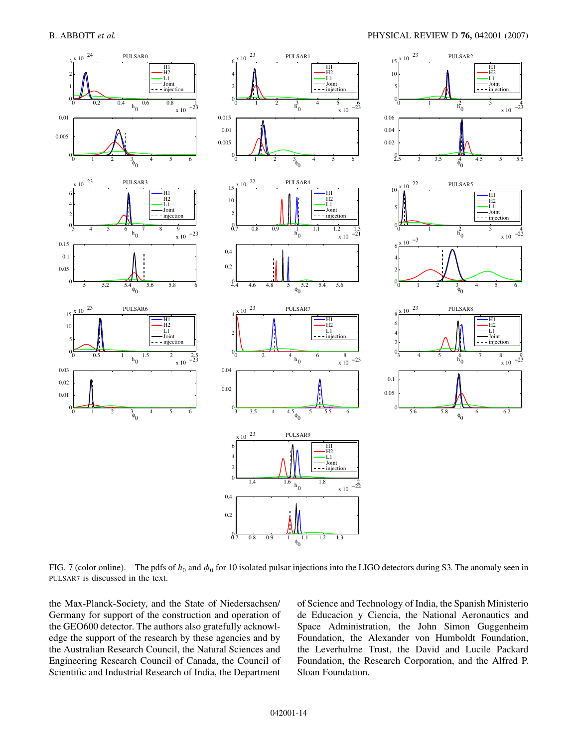<span id="page-16-0"></span>

FIG. 7 (color online). The pdfs of  $h_0$  and  $\phi_0$  for 10 isolated pulsar injections into the LIGO detectors during S3. The anomaly seen in PULSAR7 is discussed in the text.

the Max-Planck-Society, and the State of Niedersachsen/ Germany for support of the construction and operation of the GEO600 detector. The authors also gratefully acknowledge the support of the research by these agencies and by the Australian Research Council, the Natural Sciences and Engineering Research Council of Canada, the Council of Scientific and Industrial Research of India, the Department of Science and Technology of India, the Spanish Ministerio de Educacion y Ciencia, the National Aeronautics and Space Administration, the John Simon Guggenheim Foundation, the Alexander von Humboldt Foundation, the Leverhulme Trust, the David and Lucile Packard Foundation, the Research Corporation, and the Alfred P. Sloan Foundation.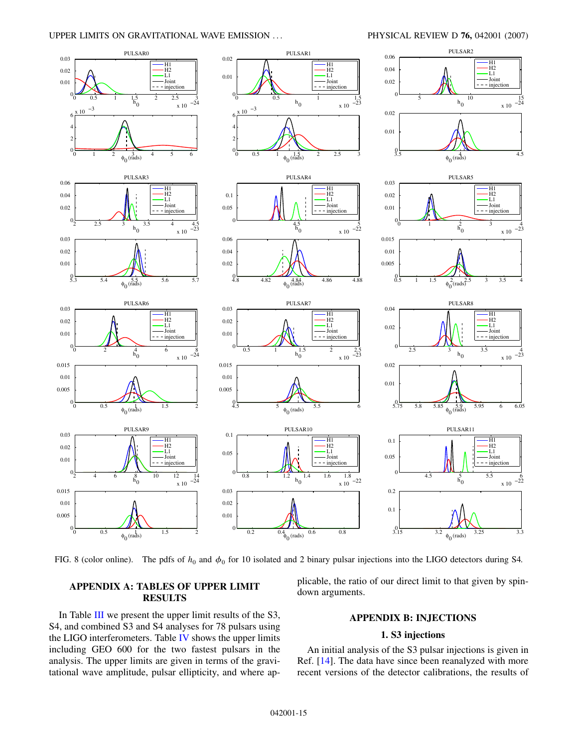#### UPPER LIMITS ON GRAVITATIONAL WAVE EMISSION ... PHYSICAL REVIEW D **76,** 042001 (2007)



<span id="page-17-0"></span>

FIG. 8 (color online). The pdfs of  $h_0$  and  $\phi_0$  for 10 isolated and 2 binary pulsar injections into the LIGO detectors during S4.

### **APPENDIX A: TABLES OF UPPER LIMIT RESULTS**

In Table [III](#page-19-0) we present the upper limit results of the S3, S4, and combined S3 and S4 analyses for 78 pulsars using the LIGO interferometers. Table [IV](#page-21-13) shows the upper limits including GEO 600 for the two fastest pulsars in the analysis. The upper limits are given in terms of the gravitational wave amplitude, pulsar ellipticity, and where applicable, the ratio of our direct limit to that given by spindown arguments.

### **APPENDIX B: INJECTIONS**

### **1. S3 injections**

An initial analysis of the S3 pulsar injections is given in Ref. [\[14\]](#page-22-0). The data have since been reanalyzed with more recent versions of the detector calibrations, the results of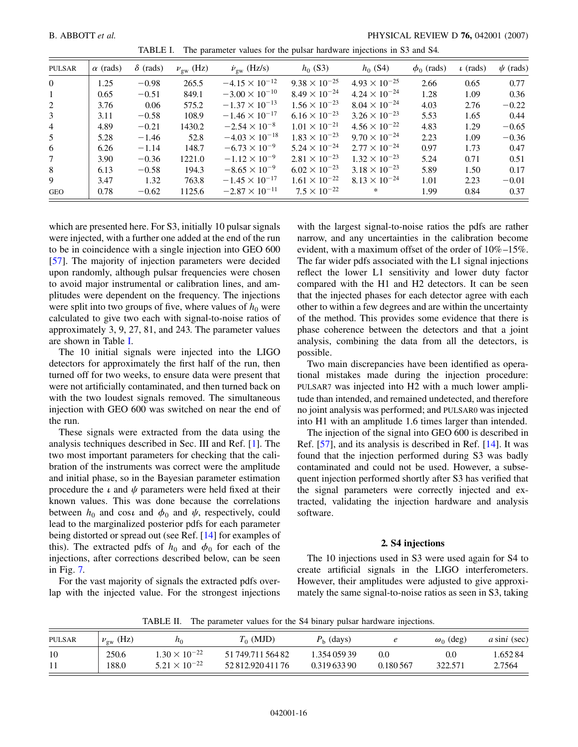<span id="page-18-0"></span>

| <b>PULSAR</b>  | $\alpha$ (rads) | $\delta$ (rads) | $\nu_{\rm gw}$ (Hz) | $\dot{\nu}_{\rm gw}$ (Hz/s) | $h_0$ (S3)             | $h_0$ (S4)             | $\phi_0$ (rads) | $\iota$ (rads) | $\psi$ (rads) |
|----------------|-----------------|-----------------|---------------------|-----------------------------|------------------------|------------------------|-----------------|----------------|---------------|
| $\Omega$       | 1.25            | $-0.98$         | 265.5               | $-4.15 \times 10^{-12}$     | $9.38 \times 10^{-25}$ | $4.93 \times 10^{-25}$ | 2.66            | 0.65           | 0.77          |
| $\mathbf{1}$   | 0.65            | $-0.51$         | 849.1               | $-3.00 \times 10^{-10}$     | $8.49 \times 10^{-24}$ | $4.24 \times 10^{-24}$ | 1.28            | 1.09           | 0.36          |
| 2              | 3.76            | 0.06            | 575.2               | $-1.37 \times 10^{-13}$     | $1.56 \times 10^{-23}$ | $8.04 \times 10^{-24}$ | 4.03            | 2.76           | $-0.22$       |
| 3              | 3.11            | $-0.58$         | 108.9               | $-1.46 \times 10^{-17}$     | $6.16 \times 10^{-23}$ | $3.26 \times 10^{-23}$ | 5.53            | 1.65           | 0.44          |
| $\overline{4}$ | 4.89            | $-0.21$         | 1430.2              | $-2.54 \times 10^{-8}$      | $1.01 \times 10^{-21}$ | $4.56 \times 10^{-22}$ | 4.83            | 1.29           | $-0.65$       |
| 5              | 5.28            | $-1.46$         | 52.8                | $-4.03 \times 10^{-18}$     | $1.83 \times 10^{-23}$ | $9.70 \times 10^{-24}$ | 2.23            | 1.09           | $-0.36$       |
| 6              | 6.26            | $-1.14$         | 148.7               | $-6.73 \times 10^{-9}$      | $5.24 \times 10^{-24}$ | $2.77 \times 10^{-24}$ | 0.97            | 1.73           | 0.47          |
| $\tau$         | 3.90            | $-0.36$         | 1221.0              | $-1.12 \times 10^{-9}$      | $2.81 \times 10^{-23}$ | $1.32 \times 10^{-23}$ | 5.24            | 0.71           | 0.51          |
| 8              | 6.13            | $-0.58$         | 194.3               | $-8.65 \times 10^{-9}$      | $6.02 \times 10^{-23}$ | $3.18 \times 10^{-23}$ | 5.89            | 1.50           | 0.17          |
| 9              | 3.47            | 1.32            | 763.8               | $-1.45 \times 10^{-17}$     | $1.61 \times 10^{-22}$ | $8.13 \times 10^{-24}$ | 1.01            | 2.23           | $-0.01$       |
| <b>GEO</b>     | 0.78            | $-0.62$         | 1125.6              | $-2.87 \times 10^{-11}$     | $7.5 \times 10^{-22}$  | $*$                    | 1.99            | 0.84           | 0.37          |

TABLE I. The parameter values for the pulsar hardware injections in S3 and S4.

which are presented here. For S3, initially 10 pulsar signals were injected, with a further one added at the end of the run to be in coincidence with a single injection into GEO 600 [\[57\]](#page-22-42). The majority of injection parameters were decided upon randomly, although pulsar frequencies were chosen to avoid major instrumental or calibration lines, and amplitudes were dependent on the frequency. The injections were split into two groups of five, where values of  $h_0$  were calculated to give two each with signal-to-noise ratios of approximately 3, 9, 27, 81, and 243. The parameter values are shown in Table [I.](#page-18-0)

The 10 initial signals were injected into the LIGO detectors for approximately the first half of the run, then turned off for two weeks, to ensure data were present that were not artificially contaminated, and then turned back on with the two loudest signals removed. The simultaneous injection with GEO 600 was switched on near the end of the run.

These signals were extracted from the data using the analysis techniques described in Sec. III and Ref. [[1\]](#page-21-0). The two most important parameters for checking that the calibration of the instruments was correct were the amplitude and initial phase, so in the Bayesian parameter estimation procedure the  $\iota$  and  $\psi$  parameters were held fixed at their known values. This was done because the correlations between  $h_0$  and cos*i* and  $\phi_0$  and  $\psi$ , respectively, could lead to the marginalized posterior pdfs for each parameter being distorted or spread out (see Ref. [[14](#page-22-0)] for examples of this). The extracted pdfs of  $h_0$  and  $\phi_0$  for each of the injections, after corrections described below, can be seen in Fig. [7.](#page-16-0)

For the vast majority of signals the extracted pdfs overlap with the injected value. For the strongest injections with the largest signal-to-noise ratios the pdfs are rather narrow, and any uncertainties in the calibration become evident, with a maximum offset of the order of 10%–15%. The far wider pdfs associated with the L1 signal injections reflect the lower L1 sensitivity and lower duty factor compared with the H1 and H2 detectors. It can be seen that the injected phases for each detector agree with each other to within a few degrees and are within the uncertainty of the method. This provides some evidence that there is phase coherence between the detectors and that a joint analysis, combining the data from all the detectors, is possible.

Two main discrepancies have been identified as operational mistakes made during the injection procedure: PULSAR7 was injected into H2 with a much lower amplitude than intended, and remained undetected, and therefore no joint analysis was performed; and PULSAR0 was injected into H1 with an amplitude 1.6 times larger than intended.

The injection of the signal into GEO 600 is described in Ref. [\[57\]](#page-22-42), and its analysis is described in Ref. [[14](#page-22-0)]. It was found that the injection performed during S3 was badly contaminated and could not be used. However, a subsequent injection performed shortly after S3 has verified that the signal parameters were correctly injected and extracted, validating the injection hardware and analysis software.

### **2. S4 injections**

The 10 injections used in S3 were used again for S4 to create artificial signals in the LIGO interferometers. However, their amplitudes were adjusted to give approximately the same signal-to-noise ratios as seen in S3, taking

TABLE II. The parameter values for the S4 binary pulsar hardware injections.

<span id="page-18-1"></span>

| PULSAR | $\nu_{\rm gw}$ (Hz) | $n_0$                                            | $T_0$ (MJD)       | $P_{\rm h}$ (days) |           | $\omega_0$ (deg) | $a \sin i$ (sec) |
|--------|---------------------|--------------------------------------------------|-------------------|--------------------|-----------|------------------|------------------|
| 10     | 250.6               | $1.30 \times 10^{-22}$<br>$5.21 \times 10^{-22}$ | 51 749.711 564 82 | 1.354 059 39       | 0.0       | 0.0              | 1.652.84         |
|        | 188.0               |                                                  | 52 812.920 411 76 | 0.31963390         | 0.180.567 | 322.571          | 2.7564           |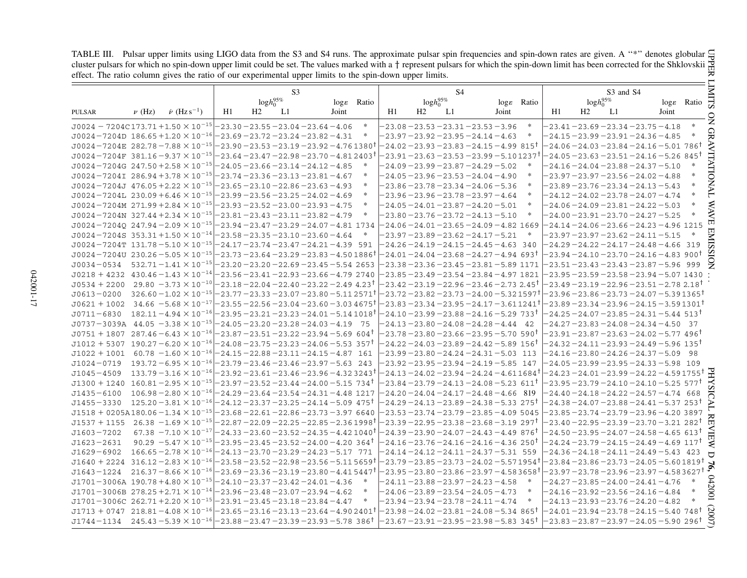TABLE III. Pulsar upper limits using LIGO data from the S3 and S4 runs. The approximate pulsar spin frequencies and spin-down rates are given. A "\*" denotes globular cluster pulsars for which no spin-down upper limit could be set. The values marked with a  $\dagger$  represent pulsars for which the spin-down limit has been corrected for the Shklovskii effect. The ratio column gives the ratio of our experimental upper limits to the spin-down upper limits.

<span id="page-19-0"></span>

|                                                                                                                                                                                                                                      | TABLE III. Pulsar upper limits using LIGO data from the S3 and S4 runs. The approximate pulsar spin frequencies and spin-down rates are given. A "*" denotes globular<br>cluster pulsars for which no spin-down upper limit could be set. The values marked with a $\dagger$ represent pulsars for which the spin-down limit has been corrected for the Shklovskii $\ddot{R}$<br>effect. The ratio column gives the ratio of our experimental upper limits to the spin-down upper limits. |                                                                                          |                                                                 |                                         |    |  |                       |        |                 |                |                |                                                                                            |                       |        |                                                          |                |                                                                                                         |       |                                             |
|--------------------------------------------------------------------------------------------------------------------------------------------------------------------------------------------------------------------------------------|-------------------------------------------------------------------------------------------------------------------------------------------------------------------------------------------------------------------------------------------------------------------------------------------------------------------------------------------------------------------------------------------------------------------------------------------------------------------------------------------|------------------------------------------------------------------------------------------|-----------------------------------------------------------------|-----------------------------------------|----|--|-----------------------|--------|-----------------|----------------|----------------|--------------------------------------------------------------------------------------------|-----------------------|--------|----------------------------------------------------------|----------------|---------------------------------------------------------------------------------------------------------|-------|---------------------------------------------|
|                                                                                                                                                                                                                                      |                                                                                                                                                                                                                                                                                                                                                                                                                                                                                           |                                                                                          |                                                                 |                                         | S3 |  |                       |        |                 |                | S <sub>4</sub> |                                                                                            |                       |        |                                                          |                | S3 and S4                                                                                               |       |                                             |
|                                                                                                                                                                                                                                      |                                                                                                                                                                                                                                                                                                                                                                                                                                                                                           |                                                                                          | $logh_0^{95\%}$                                                 |                                         |    |  | $\log \epsilon$ Ratio |        | $logh_0^{95\%}$ |                |                |                                                                                            | $\log \epsilon$ Ratio |        | $logh_0^{95\%}$                                          |                | $\log \epsilon$ Ratio                                                                                   |       |                                             |
| <b>PULSAR</b>                                                                                                                                                                                                                        | $\nu$ (Hz)                                                                                                                                                                                                                                                                                                                                                                                                                                                                                | $\dot{\nu}$ (Hz s <sup>-1</sup> )                                                        | H1                                                              | H2                                      | L1 |  | Joint                 |        | H1              | H <sub>2</sub> | L1             |                                                                                            | Joint                 |        | H1                                                       | H <sub>2</sub> | L1                                                                                                      | Joint |                                             |
| $J0024 - 7204C173.71 + 1.50 \times 10^{-15}$                                                                                                                                                                                         |                                                                                                                                                                                                                                                                                                                                                                                                                                                                                           |                                                                                          |                                                                 | $-23.30 - 23.55 - 23.04 - 23.64 - 4.06$ |    |  |                       | $\ast$ |                 |                |                | $-23.08 - 23.53 - 23.31 - 23.53 - 3.96$                                                    |                       |        |                                                          |                | $-23.41 - 23.69 - 23.34 - 23.75 - 4.18$                                                                 |       |                                             |
| $J0024 - 7204D$ 186.65 + 1.20 $\times$ 10 <sup>-16</sup> $ -23.69 - 23.72 - 23.24 - 23.82 - 4.31$                                                                                                                                    |                                                                                                                                                                                                                                                                                                                                                                                                                                                                                           |                                                                                          |                                                                 |                                         |    |  |                       | $\ast$ |                 |                |                | $-23.97 - 23.92 - 23.95 - 24.14 - 4.63$                                                    |                       | $\ast$ |                                                          |                | $-24.15 - 23.99 - 23.91 - 24.36 - 4.85$                                                                 |       |                                             |
| $J0024 - 7204E$ 282.78 - 7.88 $\times$ 10 <sup>-15</sup>                                                                                                                                                                             |                                                                                                                                                                                                                                                                                                                                                                                                                                                                                           |                                                                                          | $-23.90 - 23.53 - 23.19 - 23.92 - 4.761380$ <sup>t</sup>        |                                         |    |  |                       |        |                 |                |                | –24.02–23.93–23.83–24.15–4.99 815 <sup>†</sup>                                             |                       |        |                                                          |                | $-24.06$ $-24.03$ $-23.84$ $-24.16$ $-5.01$ $786$                                                       |       |                                             |
| $J0024 - 7204F$ 381.16 - 9.37 $\times$ 10 <sup>-15</sup>                                                                                                                                                                             |                                                                                                                                                                                                                                                                                                                                                                                                                                                                                           |                                                                                          | $-23.64 - 23.47 - 22.98 - 23.70 - 4.812403$ <sup>†</sup>        |                                         |    |  |                       |        |                 |                |                | -23.91 –23.63 –23.53 –23.99 –5.10 1237†                                                    |                       |        |                                                          |                | $-24.05 - 23.63 - 23.51 - 24.16 - 5.26$ 845 <sup>†</sup>                                                |       |                                             |
| $J0024 - 7204G$ 247.50 + 2.58 $\times$ 10 <sup>-15</sup>                                                                                                                                                                             |                                                                                                                                                                                                                                                                                                                                                                                                                                                                                           |                                                                                          | $-24.05 - 23.66 - 23.14 - 24.12 - 4.85$                         |                                         |    |  |                       |        |                 |                |                | $-24.09 - 23.99 - 23.87 - 24.29 - 5.02$                                                    |                       |        |                                                          |                | $-24.16 - 24.04 - 23.88 - 24.37 - 5.10$                                                                 |       |                                             |
| $J0024 - 7204I$ 286.94 + 3.78 $\times$ 10 <sup>-15</sup>                                                                                                                                                                             |                                                                                                                                                                                                                                                                                                                                                                                                                                                                                           |                                                                                          |                                                                 | $-23.74 - 23.36 - 23.13 - 23.81 - 4.67$ |    |  |                       | $\ast$ |                 |                |                | $-24.05 - 23.96 - 23.53 - 24.04 - 4.90$                                                    |                       | $\ast$ |                                                          |                | $-23.97 - 23.97 - 23.56 - 24.02 - 4.88$                                                                 |       |                                             |
| $J0024 - 7204J$ 476.05 + 2.22 $\times$ 10 <sup>-15</sup> - 23.65 - 23.10 - 22.86 - 23.63 - 4.93                                                                                                                                      |                                                                                                                                                                                                                                                                                                                                                                                                                                                                                           |                                                                                          |                                                                 |                                         |    |  |                       | $\ast$ |                 |                |                | $-23.86 - 23.78 - 23.34 - 24.06 - 5.36$                                                    |                       | $\ast$ |                                                          |                | $-23.89 - 23.76 - 23.34 - 24.13 - 5.43$                                                                 |       |                                             |
| $J0024 - 7204L$ 230.09 + 6.46 $\times$ 10 <sup>-15</sup>                                                                                                                                                                             |                                                                                                                                                                                                                                                                                                                                                                                                                                                                                           |                                                                                          |                                                                 | $-23.99 - 23.56 - 23.25 - 24.02 - 4.69$ |    |  |                       | $\ast$ |                 |                |                | $-23.96 - 23.96 - 23.78 - 23.97 - 4.64$                                                    |                       | ∗      |                                                          |                | $-24.12 - 24.02 - 23.78 - 24.07 - 4.74$                                                                 |       |                                             |
| $J0024 - 7204M$ 271.99 + 2.84 $\times$ 10 <sup>-15</sup>                                                                                                                                                                             |                                                                                                                                                                                                                                                                                                                                                                                                                                                                                           |                                                                                          | $-23.93 - 23.52 - 23.00 - 23.93 - 4.75$                         |                                         |    |  |                       | $\ast$ |                 |                |                | $-24.05 - 24.01 - 23.87 - 24.20 - 5.01$                                                    |                       | $\ast$ |                                                          |                | $-24.06 - 24.09 - 23.81 - 24.22 - 5.03$                                                                 |       |                                             |
| $J0024 - 7204N$ 327.44 + 2.34 $\times$ 10 <sup>-15</sup>                                                                                                                                                                             |                                                                                                                                                                                                                                                                                                                                                                                                                                                                                           |                                                                                          |                                                                 | $-23.81 - 23.43 - 23.11 - 23.82 - 4.79$ |    |  |                       | $\ast$ |                 |                |                | $-23.80 - 23.76 - 23.72 - 24.13 - 5.10$                                                    |                       | $\ast$ |                                                          |                | $-24.00 - 23.91 - 23.70 - 24.27 - 5.25$                                                                 |       |                                             |
| $J0024 - 72040$ 247.94 - 2.09 $\times$ 10 <sup>-15</sup>                                                                                                                                                                             |                                                                                                                                                                                                                                                                                                                                                                                                                                                                                           |                                                                                          | $-23.94 - 23.47 - 23.29 - 24.07 - 4.81$ 1734                    |                                         |    |  |                       |        |                 |                |                | $-24.06 - 24.01 - 23.65 - 24.09 - 4.82$ 1669                                               |                       |        | $-24.14 - 24.06 - 23.66 - 24.23 - 4.96$ 1215             |                |                                                                                                         |       |                                             |
| $J0024 - 7204S$ 353.31 +1.50 $\times$ 10 <sup>-14</sup>                                                                                                                                                                              |                                                                                                                                                                                                                                                                                                                                                                                                                                                                                           |                                                                                          | $-23.58 - 23.35 - 23.10 - 23.60 - 4.64$                         |                                         |    |  |                       |        |                 |                |                | $-23.97 - 23.89 - 23.62 - 24.17 - 5.21$                                                    |                       | *      |                                                          |                | $-23.97 - 23.97 - 23.62 - 24.11 - 5.15$                                                                 |       |                                             |
| $J0024 - 7204$ T 131.78 - 5.10 $\times$ 10 <sup>-15</sup> - 24.17 - 23.74 - 23.47 - 24.21 - 4.39 591                                                                                                                                 |                                                                                                                                                                                                                                                                                                                                                                                                                                                                                           |                                                                                          |                                                                 |                                         |    |  |                       |        |                 |                |                | $-24.26 - 24.19 - 24.15 - 24.45 - 4.63$ 340                                                |                       |        |                                                          |                | $-24.29 - 24.22 - 24.17 - 24.48 - 4.66$ 319                                                             |       |                                             |
| $J0024 - 7204U$ 230.26 - 5.05 $\times$ 10 <sup>-15</sup>                                                                                                                                                                             |                                                                                                                                                                                                                                                                                                                                                                                                                                                                                           |                                                                                          | $-23.73 - 23.64 - 23.29 - 23.83 - 4.501886$                     |                                         |    |  |                       |        |                 |                |                | –24.01–24.04–23.68–24.27–4.94 693†                                                         |                       |        | $-23.94 - 24.10 - 23.70 - 24.16 - 4.83$ 900 <sup>t</sup> |                |                                                                                                         |       |                                             |
| $J0034 - 0534$ 532.71 -1.41 $\times$ 10 <sup>-15</sup> - 23.20 - 23.20 - 22.69 - 23.45 - 5.54 2653                                                                                                                                   |                                                                                                                                                                                                                                                                                                                                                                                                                                                                                           |                                                                                          |                                                                 |                                         |    |  |                       |        |                 |                |                | $-23.38 - 23.36 - 23.45 - 23.81 - 5.89$ 1171                                               |                       |        |                                                          |                | $-23.51 - 23.43 - 23.43 - 23.87 - 5.96$ 999                                                             |       |                                             |
| $J0218 + 4232$ $430.46 - 1.43 \times 10^{-14}$ - 23.56 - 23.41 - 22.93 - 23.66 - 4.79 2740                                                                                                                                           |                                                                                                                                                                                                                                                                                                                                                                                                                                                                                           |                                                                                          |                                                                 |                                         |    |  |                       |        |                 |                |                | $-23.85 - 23.49 - 23.54 - 23.84 - 4.97$ 1821                                               |                       |        |                                                          |                | $-23.95 - 23.59 - 23.58 - 23.94 - 5.07$ 1430                                                            |       |                                             |
| $J0534 + 2200$ 29.80 $-3.73 \times 10^{-10}$ $-23.18 - 22.04 - 22.40 - 23.22 - 2.49$ 4.23 <sup>†</sup>                                                                                                                               |                                                                                                                                                                                                                                                                                                                                                                                                                                                                                           |                                                                                          |                                                                 |                                         |    |  |                       |        |                 |                |                | -23.42 –23.19 – 22.96 – 23.46 – 2.73 2.45†                                                 |                       |        |                                                          |                | –23.49 – 23.19 – 22.96 – 23.51 – 2.78 2.18 <sup>†</sup>                                                 |       |                                             |
| $J0613 - 0200$ $326.60 - 1.02 \times 10^{-15}$ $-23.77 - 23.33 - 23.07 - 23.80 - 5.11 2571$ <sup>†</sup>                                                                                                                             |                                                                                                                                                                                                                                                                                                                                                                                                                                                                                           |                                                                                          |                                                                 |                                         |    |  |                       |        |                 |                |                | -23.72 –23.82 –23.73 –24.00 – 5.32 1597†                                                   |                       |        | $-23.96 - 23.86 - 23.73 - 24.07 - 5.391365$              |                |                                                                                                         |       |                                             |
| $J0621 + 1002$ 34.66 -5.68 $\times$ 10 <sup>-17</sup>                                                                                                                                                                                |                                                                                                                                                                                                                                                                                                                                                                                                                                                                                           |                                                                                          | $-23.55$ $-22.56$ $-23.04$ $-23.60$ $-3.03$ $4675$ $^{\dagger}$ |                                         |    |  |                       |        |                 |                |                | -23.83 –23.34 –23.95 – 24.17 – 3.61 1241†                                                  |                       |        |                                                          |                | $-23.89$ $-23.34$ $-23.96$ $-24.15$ $-3.59$ $1301$ $^{\dagger}$                                         |       |                                             |
| $J0711-6830$ $182.11-4.94 \times 10^{-16}$ $-23.95-23.21-23.23-24.01-5.141018$ <sup>†</sup>                                                                                                                                          |                                                                                                                                                                                                                                                                                                                                                                                                                                                                                           |                                                                                          |                                                                 |                                         |    |  |                       |        |                 |                |                | -24.10 -23.99 -23.88 -24.16 -5.29 733†                                                     |                       |        | $-24.25 - 24.07 - 23.85 - 24.31 - 5.44$ 513 <sup>t</sup> |                |                                                                                                         |       |                                             |
| $J0737 - 3039A$ 44.05 - 3.38 $\times$ 10 <sup>-15</sup>                                                                                                                                                                              |                                                                                                                                                                                                                                                                                                                                                                                                                                                                                           |                                                                                          | $-24.05 - 23.20 - 23.28 - 24.03 - 4.19$ 75                      |                                         |    |  |                       |        |                 |                |                | $-24.13 - 23.80 - 24.08 - 24.28 - 4.44$ 42                                                 |                       |        |                                                          |                | $-24.27 - 23.83 - 24.08 - 24.34 - 4.50$ 37                                                              |       |                                             |
| $J0751 + 1807$ 287.46 -6.43 $\times$ 10 <sup>-16</sup> -23.87 -23.51 -23.22 -23.94 -5.69 604 <sup>†</sup>                                                                                                                            |                                                                                                                                                                                                                                                                                                                                                                                                                                                                                           |                                                                                          |                                                                 |                                         |    |  |                       |        |                 |                |                | $-23.78$ $-23.80$ $-23.66$ $-23.95$ $-5.70$ $\,$ $590^{ \dagger}$                          |                       |        |                                                          |                | –23.91–23.87–23.63–24.02–5.77 496 <sup>†</sup>                                                          |       |                                             |
| $J1012 + 5307$ 190.27 -6.20 $\times$ 10 <sup>-16</sup> -24.08 -23.75 -23.23 -24.06 -5.53 357 <sup>†</sup>                                                                                                                            |                                                                                                                                                                                                                                                                                                                                                                                                                                                                                           |                                                                                          |                                                                 |                                         |    |  |                       |        |                 |                |                | -24.22 – 24.03 – 23.89 – 24.42 – 5.89 $\,156^\dagger$                                      |                       |        |                                                          |                | –24.32–24.11–23.93–24.49–5.96 135†                                                                      |       |                                             |
| $J1022 + 1001$ 60.78 $-1.60 \times 10^{-16}$ $-24.15 - 22.88 - 23.11 - 24.15 - 4.87$ 161<br>$J1024 - 0719$                                                                                                                           |                                                                                                                                                                                                                                                                                                                                                                                                                                                                                           | $193.72 - 6.95 \times 10^{-16} - 23.79 - 23.46 - 23.46 - 23.97 - 5.63$ 243               |                                                                 |                                         |    |  |                       |        |                 |                |                | $-23.99 - 23.80 - 24.24 - 24.31 - 5.03$ 113<br>$-23.92 - 23.95 - 23.94 - 24.19 - 5.85$ 147 |                       |        |                                                          |                | $-24.16 - 23.80 - 24.26 - 24.37 - 5.09$ 98                                                              |       |                                             |
|                                                                                                                                                                                                                                      |                                                                                                                                                                                                                                                                                                                                                                                                                                                                                           |                                                                                          |                                                                 |                                         |    |  |                       |        |                 |                |                |                                                                                            |                       |        |                                                          |                | $-24.05 - 23.99 - 23.95 - 24.33 - 5.98$ 109                                                             |       |                                             |
| $J1045 - 4509$                                                                                                                                                                                                                       |                                                                                                                                                                                                                                                                                                                                                                                                                                                                                           | $133.79 - 3.16 \times 10^{-16}$ $-23.92 - 23.61 - 23.46 - 23.96 - 4.323243$ <sup>†</sup> |                                                                 |                                         |    |  |                       |        |                 |                |                | $-24.13$ $-24.02$ $-23.94$ $-24.24$ $-4.61$ $1684$ $^{\dagger}$                            |                       |        | $-24.23 - 24.01 - 23.99 - 24.22 - 4.591755$              |                |                                                                                                         |       |                                             |
| $J1300 + 1240$ 160.81 - 2.95 $\times$ 10 <sup>-15</sup> - 23.97 - 23.52 - 23.44 - 24.00 - 5.15 734 <sup>†</sup><br>$J1435 - 6100$                                                                                                    |                                                                                                                                                                                                                                                                                                                                                                                                                                                                                           | $106.98 - 2.80 \times 10^{-16}$ $- 24.29 - 23.64 - 23.54 - 24.31 - 4.48$ 1217            |                                                                 |                                         |    |  |                       |        |                 |                |                | -23.84 –23.79 – 24.13 – 24.08 – 5.23 $\,$ 611 $^{\dagger}$                                 |                       |        |                                                          |                | $-23.95 - 23.79 - 24.10 - 24.10 - 5.25$ 577 <sup>t</sup><br>$-24.40 - 24.18 - 24.22 - 24.57 - 4.74$ 668 |       |                                             |
| $J1455 - 3330$ $125.20 - 3.81 \times 10^{-16} - 24.12 - 23.37 - 23.25 - 24.14 - 5.09$ $475^{\dagger}$                                                                                                                                |                                                                                                                                                                                                                                                                                                                                                                                                                                                                                           |                                                                                          |                                                                 |                                         |    |  |                       |        |                 |                |                | $-24.20 - 24.04 - 24.17 - 24.48 - 4.66$ 819<br>-24.29 – 24.13 – 23.89 – 24.38 – 5.33 275†  |                       |        |                                                          |                | $-24.38$ $-24.07$ $-23.88$ $-24.41$ $-5.37$ $253$ $^{\dagger}$                                          |       |                                             |
| $J1518 + 0205A180.06 - 1.34 \times 10^{-15} - 23.68 - 22.61 - 22.86 - 23.73 - 3.976640$                                                                                                                                              |                                                                                                                                                                                                                                                                                                                                                                                                                                                                                           |                                                                                          |                                                                 |                                         |    |  |                       |        |                 |                |                |                                                                                            |                       |        |                                                          |                |                                                                                                         |       |                                             |
| $J1537 + 1155$ 26.38 $-1.69 \times 10^{-15}$ $-22.87 - 22.09 - 22.25 - 22.85 - 2.361998$ <sup>†</sup>                                                                                                                                |                                                                                                                                                                                                                                                                                                                                                                                                                                                                                           |                                                                                          |                                                                 |                                         |    |  |                       |        |                 |                |                | $-23.53 - 23.74 - 23.79 - 23.85 - 4.095045$<br>-23.39 – 22.95 – 23.38 – 23.68 – 3.19  297† |                       |        | $-23.40 - 22.95 - 23.39 - 23.70 - 3.21 282$ <sup>†</sup> |                | $-23.85 - 23.74 - 23.79 - 23.96 - 4.20$ 3897                                                            |       |                                             |
| $J1603 - 7202$                                                                                                                                                                                                                       |                                                                                                                                                                                                                                                                                                                                                                                                                                                                                           | $67.38 - 7.10 \times 10^{-17}$ $-24.33 - 23.60 - 23.52 - 24.35 - 4.421040^{\dagger}$     |                                                                 |                                         |    |  |                       |        |                 |                |                | -24.39-23.90-24.07-24.43-4.49 876 <sup>†</sup>                                             |                       |        |                                                          |                | $-24.50$ $-23.95$ $-24.07$ $-24.58$ $-4.65$ $613$ $^{\dagger}$                                          |       |                                             |
| $J1623 - 2631$                                                                                                                                                                                                                       |                                                                                                                                                                                                                                                                                                                                                                                                                                                                                           | $90.29 - 5.47 \times 10^{-15} - 23.95 - 23.45 - 23.52 - 24.00 - 4.20$ 364 <sup>†</sup>   |                                                                 |                                         |    |  |                       |        |                 |                |                | -24.16 – 23.76 – 24.16 – 24.16 – 4.36 250†                                                 |                       |        |                                                          |                | $-24.24$ $-23.79$ $-24.15$ $-24.49$ $-4.69$ $117$ †                                                     |       |                                             |
| $J1629 - 6902$                                                                                                                                                                                                                       |                                                                                                                                                                                                                                                                                                                                                                                                                                                                                           | $166.65 - 2.78 \times 10^{-16}$ $-24.13 - 23.70 - 23.29 - 24.23 - 5.17$ 771              |                                                                 |                                         |    |  |                       |        |                 |                |                | $-24.14 - 24.12 - 24.11 - 24.37 - 5.31$ 559                                                |                       |        |                                                          |                | $-24.36 - 24.18 - 24.11 - 24.49 - 5.43$ 423                                                             |       |                                             |
|                                                                                                                                                                                                                                      |                                                                                                                                                                                                                                                                                                                                                                                                                                                                                           |                                                                                          |                                                                 |                                         |    |  |                       |        |                 |                |                |                                                                                            |                       |        |                                                          |                |                                                                                                         |       |                                             |
| $J1640 + 2224$ 316.12 - 2.83 $\times$ 10 <sup>-16</sup> - 23.58 - 23.52 - 22.98 - 23.56 - 5.11 5659 <sup>†</sup><br>$J1643 - 1224$ 216.37 - 8.66 $\times$ 10 <sup>-16</sup> - 23.69 - 23.36 - 23.19 - 23.80 - 4.41 5447 <sup>†</sup> |                                                                                                                                                                                                                                                                                                                                                                                                                                                                                           |                                                                                          |                                                                 |                                         |    |  |                       |        |                 |                |                | $-23.79$ $-23.85$ $-23.73$ $-24.02$ $-5.57$ $1954$ $^{\dagger}$                            |                       |        | $-23.84 - 23.86 - 23.73 - 24.05 - 5.601819$ <sup>t</sup> |                |                                                                                                         |       | $-23.97 - 23.78 - 23.96 - 23.97 - 4.583627$ |
| $J1701-3006A$ 190.78 +4.80 $\times$ 10 <sup>-15</sup> -24.10 -23.37 -23.42 -24.01 -4.36                                                                                                                                              |                                                                                                                                                                                                                                                                                                                                                                                                                                                                                           |                                                                                          |                                                                 |                                         |    |  |                       | $\ast$ |                 |                |                | -23.95 – 23.80 – 23.86 – 23.97 – 4.583658†<br>$-24.11 - 23.88 - 23.97 - 24.23 - 4.58$      |                       | $\ast$ |                                                          |                |                                                                                                         |       |                                             |
| $J1701 - 3006B$ $278.25 + 2.71 \times 10^{-14}$ $-23.96 - 23.48 - 23.07 - 23.94 - 4.62$                                                                                                                                              |                                                                                                                                                                                                                                                                                                                                                                                                                                                                                           |                                                                                          |                                                                 |                                         |    |  |                       | $\ast$ |                 |                |                | $-24.06 - 23.89 - 23.54 - 24.05 - 4.73$                                                    |                       | $\ast$ |                                                          |                | $-24.27 - 23.85 - 24.00 - 24.41 - 4.76$                                                                 |       |                                             |
| $J1701 - 3006C$ 262.71 + 2.20 $\times$ 10 <sup>-15</sup> - 23.91 - 23.45 - 23.18 - 23.84 - 4.47                                                                                                                                      |                                                                                                                                                                                                                                                                                                                                                                                                                                                                                           |                                                                                          |                                                                 |                                         |    |  |                       | $\ast$ |                 |                |                |                                                                                            |                       | $\ast$ |                                                          |                | $-24.16 - 23.92 - 23.56 - 24.16 - 4.84$                                                                 |       |                                             |
| $J1713 + 0747$ 218.81 -4.08 $\times$ 10 <sup>-16</sup> -23.65 -23.16 -23.13 -23.64 -4.90 2401 <sup>1</sup>                                                                                                                           |                                                                                                                                                                                                                                                                                                                                                                                                                                                                                           |                                                                                          |                                                                 |                                         |    |  |                       |        |                 |                |                | $-23.94 - 23.94 - 23.78 - 24.11 - 4.74$<br>-23.98-24.02-23.81-24.08-5.34 865†              |                       |        |                                                          |                | $-24.13 - 23.93 - 23.76 - 24.20 - 4.82$<br>-24.01 – 23.94 – 23.78 – 24.15 – 5.40 748†                   |       |                                             |
| $J1744 - 1134$ 245.43 - 5.39 $\times$ 10 <sup>-16</sup> - 23.88 - 23.47 - 23.39 - 23.93 - 5.78 386 <sup>†</sup>                                                                                                                      |                                                                                                                                                                                                                                                                                                                                                                                                                                                                                           |                                                                                          |                                                                 |                                         |    |  |                       |        |                 |                |                | -23.67-23.91-23.95-23.98-5.83  345 <sup>†</sup>                                            |                       |        |                                                          |                | –23.83 –23.87 –23.97 –24.05 –5.90 296 <sup>†</sup>                                                      |       |                                             |
|                                                                                                                                                                                                                                      |                                                                                                                                                                                                                                                                                                                                                                                                                                                                                           |                                                                                          |                                                                 |                                         |    |  |                       |        |                 |                |                |                                                                                            |                       |        |                                                          |                |                                                                                                         |       |                                             |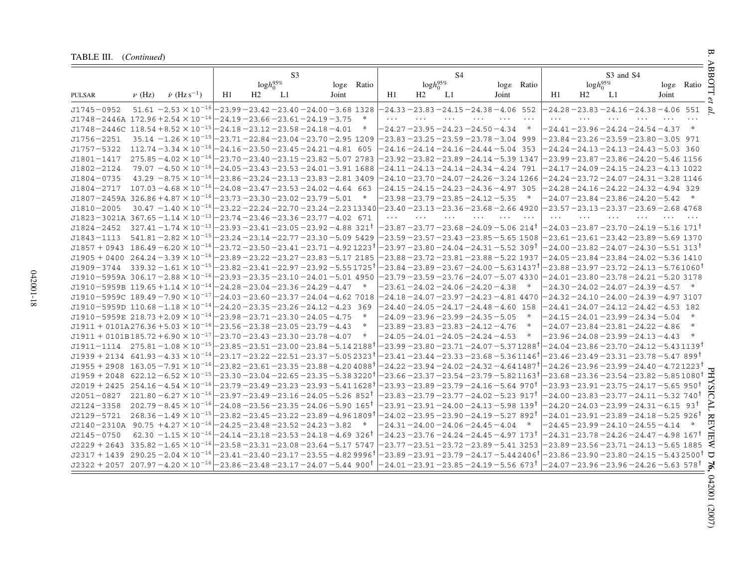| TABLE III. (Continued) |  |
|------------------------|--|
|------------------------|--|

| TABLE III. (Continued)                                                                                           |            |                                                                                           |    |    |                 |                            |        |          |                 |    |                                                                  |       |                            |          |                                                                              |           |                        |        | ₩<br>₹           |
|------------------------------------------------------------------------------------------------------------------|------------|-------------------------------------------------------------------------------------------|----|----|-----------------|----------------------------|--------|----------|-----------------|----|------------------------------------------------------------------|-------|----------------------------|----------|------------------------------------------------------------------------------|-----------|------------------------|--------|------------------|
|                                                                                                                  |            |                                                                                           |    |    | S <sub>3</sub>  |                            |        |          |                 | S4 |                                                                  |       |                            |          |                                                                              | S3 and S4 |                        |        |                  |
|                                                                                                                  |            |                                                                                           |    |    | $logh_0^{95\%}$ | log <sub>&amp;</sub> Ratio |        |          | $logh_0^{95\%}$ |    |                                                                  |       | log <sub>&amp;</sub> Ratio |          | $logh_0^{95\%}$                                                              |           | log <sub>8</sub> Ratio |        | <b>BOTT</b>      |
| PULSAR                                                                                                           | $\nu$ (Hz) | $\dot{\nu}$ (Hz s <sup>-1</sup> )                                                         | H1 | H2 | L1              | Joint                      |        | H1       | H2              | L1 |                                                                  | Joint |                            | H1       | H <sub>2</sub>                                                               | L1        | Joint                  |        |                  |
| $J1745 - 0952$                                                                                                   |            | $51.61 - 2.53 \times 10^{-16}$ $- 23.99 - 23.42 - 23.40 - 24.00 - 3.68$ 1328              |    |    |                 |                            |        |          |                 |    | $-24.33 - 23.83 - 24.15 - 24.38 - 4.06$ 552                      |       |                            |          | $-24.28 - 23.83 - 24.16 - 24.38 - 4.06$ 551                                  |           |                        |        | g                |
| $J1748 - 2446A$ 172.96 + 2.54 $\times$ 10 <sup>-16</sup> - 24.19 - 23.66 - 23.61 - 24.19 - 3.75                  |            |                                                                                           |    |    |                 |                            |        | $\cdots$ |                 |    |                                                                  |       | $\cdots$                   | $\cdots$ |                                                                              |           |                        |        |                  |
| $J1748 - 2446C$                                                                                                  |            | $118.54 + 8.52 \times 10^{-15}$ - 24.18 - 23.12 - 23.58 - 24.18 - 4.01                    |    |    |                 |                            | $\ast$ |          |                 |    | $-24.27 - 23.95 - 24.23 - 24.50 - 4.34$                          |       | $\ast$                     |          | $-24.41 - 23.96 - 24.24 - 24.54 - 4.37$ *                                    |           |                        |        |                  |
| $J1756 - 2251$                                                                                                   |            | $35.14 - 1.26 \times 10^{-15}$ $-23.71 - 22.84 - 23.04 - 23.70 - 2.95$ 1209               |    |    |                 |                            |        |          |                 |    | $-23.83 - 23.25 - 23.59 - 23.78 - 3.04$ 999                      |       |                            |          | $-23.84 - 23.26 - 23.59 - 23.80 - 3.05$ 971                                  |           |                        |        |                  |
| $J1757 - 5322$                                                                                                   |            | $112.74 - 3.34 \times 10^{-16} - 24.16 - 23.50 - 23.45 - 24.21 - 4.81$ 605                |    |    |                 |                            |        |          |                 |    | $-24.16 - 24.14 - 24.16 - 24.44 - 5.04$ 353                      |       |                            |          | $-24.24 - 24.13 - 24.13 - 24.43 - 5.03$ 360                                  |           |                        |        |                  |
| $J1801 - 1417$                                                                                                   |            | $275.85 - 4.02 \times 10^{-16} - 23.70 - 23.40 - 23.15 - 23.82 - 5.07$ 2783               |    |    |                 |                            |        |          |                 |    | $-23.92 - 23.82 - 23.89 - 24.14 - 5.39$ 1347                     |       |                            |          | $-23.99 - 23.87 - 23.86 - 24.20 - 5.46$ 1156                                 |           |                        |        |                  |
| $J1802 - 2124$                                                                                                   |            | $79.07 - 4.50 \times 10^{-16}$ $-24.05 - 23.43 - 23.53 - 24.01 - 3.91$ 1688               |    |    |                 |                            |        |          |                 |    | $-24.11 - 24.13 - 24.14 - 24.34 - 4.24$ 791                      |       |                            |          | -24.17 – 24.09 – 24.15 – 24.23 – 4.13 1022                                   |           |                        |        |                  |
| $J1804 - 0735$                                                                                                   |            | $43.29 - 8.75 \times 10^{-16} - 23.86 - 23.24 - 23.13 - 23.83 - 2.81$ 3409                |    |    |                 |                            |        |          |                 |    | -24.10 – 23.70 – 24.07 – 24.26 – 3.24 1266                       |       |                            |          | -24.24 – 23.72 – 24.07 – 24.31 – 3.28 1146                                   |           |                        |        |                  |
| J1804-2717                                                                                                       |            | $107.03 - 4.68 \times 10^{-16}$ $-24.08 - 23.47 - 23.53 - 24.02 - 4.64$ 663               |    |    |                 |                            |        |          |                 |    | $-24.15 - 24.15 - 24.23 - 24.36 - 4.97$ 305                      |       |                            |          | $-24.28 - 24.16 - 24.22 - 24.32 - 4.94$ 329                                  |           |                        |        |                  |
| $J1807 - 2459A$ 326.86 + 4.87 $\times$ 10 <sup>-16</sup> - 23.73 - 23.30 - 23.02 - 23.79 - 5.01                  |            |                                                                                           |    |    |                 |                            | $\ast$ |          |                 |    | -23.98 – 23.79 – 23.85 – 24.12 – 5.35                            |       |                            |          | $-24.07 - 23.84 - 23.86 - 24.20 - 5.42$                                      |           |                        | $\ast$ |                  |
| $J1810 - 2005$                                                                                                   |            | $30.47 - 1.40 \times 10^{-16} - 23.22 - 22.24 - 22.70 - 23.24 - 2.2313340$                |    |    |                 |                            |        |          |                 |    | $-23.40 - 23.13 - 23.36 - 23.68 - 2.66$ 4920                     |       |                            |          | -23.57 – 23.13 – 23.37 – 23.69 – 2.68 4768                                   |           |                        |        |                  |
| J1823-3021A 367.65-1.14 $\times$ 10 <sup>-13</sup> - 23.74-23.46-23.36-23.77-4.02 671                            |            |                                                                                           |    |    |                 |                            |        |          |                 |    |                                                                  |       |                            |          |                                                                              |           |                        |        |                  |
| $J1824 - 2452$                                                                                                   |            | $327.41 - 1.74 \times 10^{-13} - 23.93 - 23.41 - 23.05 - 23.92 - 4.88$ 321 <sup>t</sup>   |    |    |                 |                            |        |          |                 |    | $-23.87$ $-23.77$ $-23.68$ $-24.09$ $-5.06$ $\,214$ $^{\dagger}$ |       |                            |          | -24.03 – 23.87 – 23.70 – 24.19 – 5.16 171 <sup>†</sup>                       |           |                        |        |                  |
| $J1843 - 1113$                                                                                                   |            | $541.81 - 2.82 \times 10^{-15} - 23.24 - 23.14 - 22.77 - 23.30 - 5.09$ 5429               |    |    |                 |                            |        |          |                 |    | $-23.59 - 23.57 - 23.43 - 23.85 - 5.65$ 1508                     |       |                            |          | $-23.61 - 23.61 - 23.42 - 23.89 - 5.69$ 1370                                 |           |                        |        |                  |
| $J1857 + 0943$ 186.49 - 6.20 $\times$ 10 <sup>-16</sup> - 23.72 - 23.50 - 23.41 - 23.71 - 4.92 1223 <sup>1</sup> |            |                                                                                           |    |    |                 |                            |        |          |                 |    | -23.97-23.80-24.04-24.31-5.52 309†                               |       |                            |          | -24.00-23.82-24.07-24.30-5.51 313†                                           |           |                        |        |                  |
| $J1905 + 0400$ 264.24 - 3.39 $\times$ 10 <sup>-16</sup> - 23.89 - 23.22 - 23.27 - 23.83 - 5.17 2185              |            |                                                                                           |    |    |                 |                            |        |          |                 |    | $-23.88 - 23.72 - 23.81 - 23.88 - 5.22$ 1937                     |       |                            |          | $-24.05 - 23.84 - 23.84 - 24.02 - 5.36$ 1410                                 |           |                        |        |                  |
| $J1909 - 3744$                                                                                                   |            | $339.32 - 1.61 \times 10^{-15} - 23.82 - 23.41 - 22.97 - 23.92 - 5.551725$                |    |    |                 |                            |        |          |                 |    | -23.84 –23.89 –23.67 –24.00 –5.63 1437†                          |       |                            |          | -23.88 –23.97 –23.72 –24.13 –5.761060 <sup>т</sup>                           |           |                        |        |                  |
| $J1910 - 5959A$ 306.17 - 2.88 $\times$ 10 <sup>-16</sup> - 23.93 - 23.35 - 23.10 - 24.01 - 5.01 4950             |            |                                                                                           |    |    |                 |                            |        |          |                 |    | -23.79 -23.59 -23.76 -24.07 -5.07 4330                           |       |                            |          | $-24.01 - 23.80 - 23.78 - 24.21 - 5.20$ 3178                                 |           |                        |        |                  |
| $J1910 - 5959B$ 119.65 + 1.14 $\times$ 10 <sup>-14</sup> - 24.28 - 23.04 - 23.36 - 24.29 - 4.47                  |            |                                                                                           |    |    |                 |                            |        |          |                 |    | $-23.61 - 24.02 - 24.06 - 24.20 - 4.38$                          |       |                            |          | -24.30-24.02-24.07-24.39-4.57 *                                              |           |                        |        |                  |
| J1910-5959C 189.49-7.90 $\times$ 10 <sup>-17</sup> -24.03-23.60-23.37-24.04-4.62 7018                            |            |                                                                                           |    |    |                 |                            |        |          |                 |    | -24.18 -24.07 -23.97 -24.23 -4.81 4470                           |       |                            |          | -24.32 -24.10 -24.00 -24.39 -4.97 3107                                       |           |                        |        |                  |
| $J1910 - 5959D$ 110.68 - 1.18 $\times$ 10 <sup>-14</sup> - 24.20 - 23.35 - 23.26 - 24.12 - 4.23 369              |            |                                                                                           |    |    |                 |                            |        |          |                 |    | $-24.40 - 24.05 - 24.17 - 24.48 - 4.60$ 158                      |       |                            |          | $-24.41 - 24.07 - 24.12 - 24.42 - 4.53$ 182                                  |           |                        |        |                  |
| $J1910 - 5959E$ 218.73 + 2.09 $\times$ 10 <sup>-14</sup> - 23.98 - 23.71 - 23.30 - 24.05 - 4.75                  |            |                                                                                           |    |    |                 |                            |        |          |                 |    | $-24.09 - 23.96 - 23.99 - 24.35 - 5.05$                          |       |                            |          | $-24.15 - 24.01 - 23.99 - 24.34 - 5.04$                                      |           |                        |        |                  |
| $J1911 + 0101A276.36 + 5.03 \times 10^{-16} - 23.56 - 23.38 - 23.05 - 23.79 - 4.43$                              |            |                                                                                           |    |    |                 |                            | $\ast$ |          |                 |    | $-23.89 - 23.83 - 23.83 - 24.12 - 4.76$                          |       |                            |          | $-24.07 - 23.84 - 23.81 - 24.22 - 4.86$                                      |           |                        | $\ast$ |                  |
| $J1911 + 0101B185.72 + 6.90 \times 10^{-17}$ - 23.70 - 23.43 - 23.30 - 23.78 - 4.07                              |            |                                                                                           |    |    |                 |                            | $\ast$ |          |                 |    | $-24.05 - 24.01 - 24.05 - 24.24 - 4.53$                          |       | ∗                          |          | -23.96 –24.08 –23.99 –24.13 –4.43                                            |           |                        | $\ast$ |                  |
| $J1911 - 1114$ $275.81 - 1.08 \times 10^{-15}$ $-23.85 - 23.51 - 23.00 - 23.84 - 5.142188$ <sup>†</sup>          |            |                                                                                           |    |    |                 |                            |        |          |                 |    | –23.99 –23.80 –23.71 –24.07 –5.37 1288 <sup>†</sup>              |       |                            |          | –24.04 –23.86 –23.70 –24.12 –5.43 1139†                                      |           |                        |        |                  |
| $J1939 + 2134$ 641.93 - 4.33 $\times$ 10 <sup>-14</sup> - 23.17 - 23.22 - 22.51 - 23.37 - 5.05 2323 <sup>†</sup> |            |                                                                                           |    |    |                 |                            |        |          |                 |    | -23.41 -23.44 -23.33 -23.68 -5.3611461                           |       |                            |          | -23.46 –23.49 –23.31 –23.78 –5.47 899†                                       |           |                        |        |                  |
| $J1955 + 2908$ 163.05 -7.91 $\times$ 10 <sup>-16</sup> -23.82 -23.61 -23.35 -23.88 -4.20 4088 <sup>†</sup>       |            |                                                                                           |    |    |                 |                            |        |          |                 |    | -24.22 – 23.94 – 24.02 – 24.32 – 4.64 1487                       |       |                            |          | -24.26 – 23.96 – 23.99 – 24.40 – 4.72 1223†                                  |           |                        |        |                  |
| $J1959 + 2048$ 622.12 - 6.52 $\times$ 10 <sup>-15</sup> - 23.30 - 23.04 - 22.65 - 23.35 - 5.38 3220 <sup>†</sup> |            |                                                                                           |    |    |                 |                            |        |          |                 |    | –23.66 –23.37 –23.54 –23.79 – 5.82 1163 <sup>†</sup>             |       |                            |          | -23.68 –23.36 –23.54 –23.82 –5.851080 <sup>†</sup>                           |           |                        |        | 모                |
| $J2019 + 2425$ 254.16 - 4.54 $\times$ 10 <sup>-16</sup> - 23.79 - 23.49 - 23.23 - 23.93 - 5.41 1628 <sup>†</sup> |            |                                                                                           |    |    |                 |                            |        |          |                 |    | -23.93 – 23.89 – 23.79 – 24.16 – 5.64 970†                       |       |                            |          | -23.93 –23.91 –23.75 –24.17 –5.65 950 <sup>†</sup>                           |           |                        |        | $S_{\rm A}$      |
| $J2051 - 0827$                                                                                                   |            | $221.80 - 6.27 \times 10^{-16} - 23.97 - 23.49 - 23.16 - 24.05 - 5.26$ 852 <sup>t</sup>   |    |    |                 |                            |        |          |                 |    | -23.83 – 23.79 – 23.77 – 24.02 – 5.23  917†                      |       |                            |          | -24.00 – 23.83 – 23.77 – 24.11 – 5.32  740 <sup>†</sup>                      |           |                        |        | ನ                |
| $J2124 - 3358$                                                                                                   |            | $202.79 - 8.45 \times 10^{-16}$ $- 24.08 - 23.56 - 23.35 - 24.06 - 5.90$ 165 <sup>t</sup> |    |    |                 |                            |        |          |                 |    | -23.91 – 23.91 – 24.00 – 24.13 – 5.98 139†                       |       |                            |          | $-24.20 - 24.03 - 23.99 - 24.31 - 6.15$ 93 <sup>†</sup>                      |           |                        |        | F                |
| $J2129 - 5721$                                                                                                   |            | $268.36 - 1.49 \times 10^{-15} - 23.82 - 23.45 - 23.22 - 23.89 - 4.961809$ <sup>t</sup>   |    |    |                 |                            |        |          |                 |    | $-24.02$ $-23.95$ $-23.90$ $-24.19$ $-5.27$ $892$ $^\intercal$   |       |                            |          | -24.01 – 23.91 – 23.89 – 24.18 – 5.25 926†                                   |           |                        |        | $\overline{\pi}$ |
| $J2140 - 2310A$ 90.75 $+4.27 \times 10^{-16} - 24.25 - 23.48 - 23.52 - 24.23 - 3.82$                             |            |                                                                                           |    |    |                 |                            |        |          |                 |    | $-24.31 - 24.00 - 24.06 - 24.45 - 4.04$                          |       |                            |          | $-24.45 - 23.99 - 24.10 - 24.55 - 4.14$                                      |           |                        | $\ast$ | EVIE             |
| $J2145 - 0750$                                                                                                   |            | $62.30 - 1.15 \times 10^{-16}$ $- 24.14 - 23.18 - 23.53 - 24.18 - 4.69$ 326 <sup>t</sup>  |    |    |                 |                            |        |          |                 |    | –24.23 –23.76 –24.24 –24.45 –4.97 173†                           |       |                            |          | -24.31 – 23.78 – 24.26 – 24.47 – 4.98 167†                                   |           |                        |        |                  |
| $J2229 + 2643$ 335.82 - 1.65 $\times$ 10 <sup>-16</sup> - 23.58 - 23.31 - 23.08 - 23.64 - 5.17 5747              |            |                                                                                           |    |    |                 |                            |        |          |                 |    | –23.77 – 23.51 – 23.72 – 23.89 – 5.41 3253                       |       |                            |          | $-23.89 - 23.56 - 23.71 - 24.13 - 5.65$ 1885                                 |           |                        |        | €                |
| $J2317 + 1439$ $290.25 - 2.04 \times 10^{-16}$ $-23.41 - 23.40 - 23.17 - 23.55 - 4.829996$                       |            |                                                                                           |    |    |                 |                            |        |          |                 |    | -23.89 – 23.91 – 23.79 – 24.17 – 5.44 24061                      |       |                            |          | $-23.86$ $-23.90$ $-23.80$ $-24.15$ $-5.43$ $2500$ $^{\dagger}$ $\,\,\nabla$ |           |                        |        |                  |
| $J2322 + 2057$ 207.97 -4.20 $\times$ 10 <sup>-16</sup> -23.86 -23.48 -23.17 -24.07 -5.44 900 <sup>†</sup>        |            |                                                                                           |    |    |                 |                            |        |          |                 |    | $-24.01$ $-23.91$ $-23.85$ $-24.19$ $-5.56$ 673 $^\dagger$       |       |                            |          | $-24.07$ $-23.96$ $-23.96$ $-24.26$ $-5.63$ 578 $^{\dagger}$                 |           |                        |        |                  |

042001-18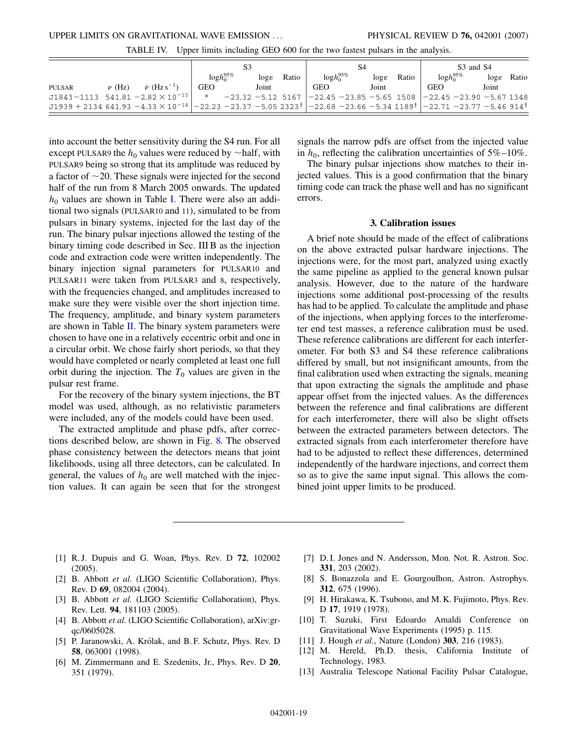TABLE IV. Upper limits including GEO 600 for the two fastest pulsars in the analysis.

<span id="page-21-13"></span>

|        |            |                                                                                                                                                             |                                                                               |  |                    |       | S4              |  | S <sub>3</sub> and S <sub>4</sub> |       |                 |  |                 |       |
|--------|------------|-------------------------------------------------------------------------------------------------------------------------------------------------------------|-------------------------------------------------------------------------------|--|--------------------|-------|-----------------|--|-----------------------------------|-------|-----------------|--|-----------------|-------|
|        |            |                                                                                                                                                             | $logh_0^{95\%}$                                                               |  | $\log \varepsilon$ | Ratio | $logh_0^{95\%}$ |  | $\log \varepsilon$                | Ratio | $logh_0^{95\%}$ |  | $\log \epsilon$ | Ratio |
| PULSAR | $\nu$ (Hz) | $\dot{\nu}$ (Hz s <sup>-1</sup> )                                                                                                                           | <b>GEO</b>                                                                    |  | Joint              |       | GEO             |  | Joint                             |       | <b>GEO</b>      |  | Joint           |       |
|        |            | $J1843 - 1113$ 541.81 - 2.82 $\times$ 10 <sup>-15</sup>                                                                                                     | * $-23.32$ -5.12 5167 $ -22.45$ -23.85 -5.65 1508 $ -22.45$ -23.90 -5.67 1348 |  |                    |       |                 |  |                                   |       |                 |  |                 |       |
|        |            | $J1939 + 2134641.93 - 433 \times 10^{-14}$ $-22.23 - 23.37 - 5.052323^{\dagger}$ $-22.68 - 23.66 - 5.341189^{\dagger}$ $-22.71 - 23.77 - 5.46914^{\dagger}$ |                                                                               |  |                    |       |                 |  |                                   |       |                 |  |                 |       |

into account the better sensitivity during the S4 run. For all except PULSAR9 the  $h_0$  values were reduced by  $\sim$ half, with PULSAR9 being so strong that its amplitude was reduced by a factor of  $\sim$ 20. These signals were injected for the second half of the run from 8 March 2005 onwards. The updated  $h_0$  values are shown in Table [I](#page-18-0). There were also an additional two signals (PULSAR10 and 11), simulated to be from pulsars in binary systems, injected for the last day of the run. The binary pulsar injections allowed the testing of the binary timing code described in Sec. III B as the injection code and extraction code were written independently. The binary injection signal parameters for PULSAR10 and PULSAR11 were taken from PULSAR3 and 8, respectively, with the frequencies changed, and amplitudes increased to make sure they were visible over the short injection time. The frequency, amplitude, and binary system parameters are shown in Table [II.](#page-18-1) The binary system parameters were chosen to have one in a relatively eccentric orbit and one in a circular orbit. We chose fairly short periods, so that they would have completed or nearly completed at least one full orbit during the injection. The  $T_0$  values are given in the pulsar rest frame.

For the recovery of the binary system injections, the BT model was used, although, as no relativistic parameters were included, any of the models could have been used.

The extracted amplitude and phase pdfs, after corrections described below, are shown in Fig. [8.](#page-17-0) The observed phase consistency between the detectors means that joint likelihoods, using all three detectors, can be calculated. In general, the values of  $h_0$  are well matched with the injection values. It can again be seen that for the strongest signals the narrow pdfs are offset from the injected value in  $h_0$ , reflecting the calibration uncertainties of  $5\% - 10\%$ .

The binary pulsar injections show matches to their injected values. This is a good confirmation that the binary timing code can track the phase well and has no significant errors.

#### **3. Calibration issues**

A brief note should be made of the effect of calibrations on the above extracted pulsar hardware injections. The injections were, for the most part, analyzed using exactly the same pipeline as applied to the general known pulsar analysis. However, due to the nature of the hardware injections some additional post-processing of the results has had to be applied. To calculate the amplitude and phase of the injections, when applying forces to the interferometer end test masses, a reference calibration must be used. These reference calibrations are different for each interferometer. For both S3 and S4 these reference calibrations differed by small, but not insignificant amounts, from the final calibration used when extracting the signals, meaning that upon extracting the signals the amplitude and phase appear offset from the injected values. As the differences between the reference and final calibrations are different for each interferometer, there will also be slight offsets between the extracted parameters between detectors. The extracted signals from each interferometer therefore have had to be adjusted to reflect these differences, determined independently of the hardware injections, and correct them so as to give the same input signal. This allows the combined joint upper limits to be produced.

- <span id="page-21-0"></span>[1] R. J. Dupuis and G. Woan, Phys. Rev. D **72**, 102002 (2005).
- <span id="page-21-1"></span>[2] B. Abbott *et al.* (LIGO Scientific Collaboration), Phys. Rev. D **69**, 082004 (2004).
- <span id="page-21-2"></span>[3] B. Abbott *et al.* (LIGO Scientific Collaboration), Phys. Rev. Lett. **94**, 181103 (2005).
- <span id="page-21-3"></span>[4] B. Abbott *et al.* (LIGO Scientific Collaboration), arXiv:grqc/0605028.
- <span id="page-21-4"></span>[5] P. Jaranowski, A. Królak, and B. F. Schutz, Phys. Rev. D **58**, 063001 (1998).
- <span id="page-21-5"></span>[6] M. Zimmermann and E. Szedenits, Jr., Phys. Rev. D **20**, 351 (1979).
- <span id="page-21-6"></span>[7] D. I. Jones and N. Andersson, Mon. Not. R. Astron. Soc. **331**, 203 (2002).
- <span id="page-21-7"></span>[8] S. Bonazzola and E. Gourgoulhon, Astron. Astrophys. **312**, 675 (1996).
- <span id="page-21-8"></span>[9] H. Hirakawa, K. Tsubono, and M. K. Fujimoto, Phys. Rev. D **17**, 1919 (1978).
- <span id="page-21-9"></span>[10] T. Suzuki, First Edoardo Amaldi Conference on Gravitational Wave Experiments (1995) p. 115.
- <span id="page-21-11"></span><span id="page-21-10"></span>[11] J. Hough *et al.*, Nature (London) **303**, 216 (1983).
- [12] M. Hereld, Ph.D. thesis, California Institute of Technology, 1983.
- <span id="page-21-12"></span>[13] Australia Telescope National Facility Pulsar Catalogue,